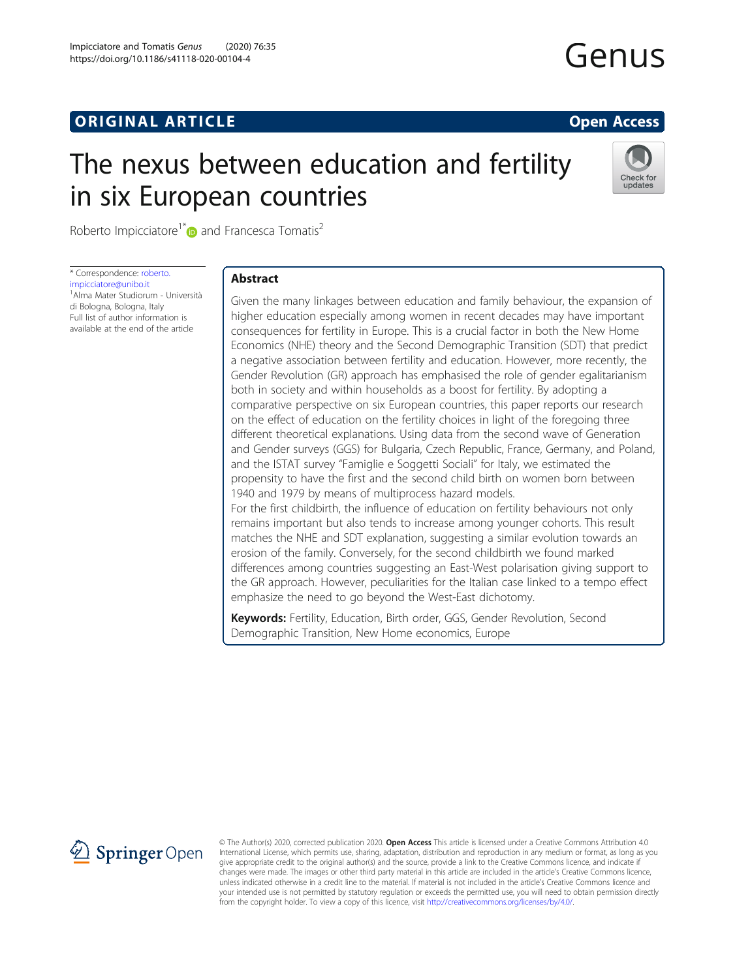# **ORIGINAL ARTICLE CONSERVANCE IN A LOCAL CONSERVANCE IN A LOCAL CONSERVANCE IN A LOCAL CONSERVANCE IN A LOCAL CONSERVANCE IN A LOCAL CONSERVANCE IN A LOCAL CONSERVANCE IN A LOCAL CONSERVANCE IN A LOCAL CONSERVANCE IN A L**

# The nexus between education and fertility in six European countries



Roberto Impicciatore<sup>1[\\*](http://orcid.org/0000-0003-3378-9733)</sup> and Francesca Tomatis<sup>2</sup>

\* Correspondence: [roberto.](mailto:roberto.impicciatore@unibo.it) [impicciatore@unibo.it](mailto:roberto.impicciatore@unibo.it) 1 Alma Mater Studiorum - Università di Bologna, Bologna, Italy Full list of author information is available at the end of the article

# Abstract

Given the many linkages between education and family behaviour, the expansion of higher education especially among women in recent decades may have important consequences for fertility in Europe. This is a crucial factor in both the New Home Economics (NHE) theory and the Second Demographic Transition (SDT) that predict a negative association between fertility and education. However, more recently, the Gender Revolution (GR) approach has emphasised the role of gender egalitarianism both in society and within households as a boost for fertility. By adopting a comparative perspective on six European countries, this paper reports our research on the effect of education on the fertility choices in light of the foregoing three different theoretical explanations. Using data from the second wave of Generation and Gender surveys (GGS) for Bulgaria, Czech Republic, France, Germany, and Poland, and the ISTAT survey "Famiglie e Soggetti Sociali" for Italy, we estimated the propensity to have the first and the second child birth on women born between 1940 and 1979 by means of multiprocess hazard models. For the first childbirth, the influence of education on fertility behaviours not only

remains important but also tends to increase among younger cohorts. This result matches the NHE and SDT explanation, suggesting a similar evolution towards an erosion of the family. Conversely, for the second childbirth we found marked differences among countries suggesting an East-West polarisation giving support to the GR approach. However, peculiarities for the Italian case linked to a tempo effect emphasize the need to go beyond the West-East dichotomy.

Keywords: Fertility, Education, Birth order, GGS, Gender Revolution, Second Demographic Transition, New Home economics, Europe



© The Author(s) 2020, corrected publication 2020. Open Access This article is licensed under a Creative Commons Attribution 4.0 International License, which permits use, sharing, adaptation, distribution and reproduction in any medium or format, as long as you give appropriate credit to the original author(s) and the source, provide a link to the Creative Commons licence, and indicate if changes were made. The images or other third party material in this article are included in the article's Creative Commons licence, unless indicated otherwise in a credit line to the material. If material is not included in the article's Creative Commons licence and your intended use is not permitted by statutory regulation or exceeds the permitted use, you will need to obtain permission directly from the copyright holder. To view a copy of this licence, visit <http://creativecommons.org/licenses/by/4.0/>.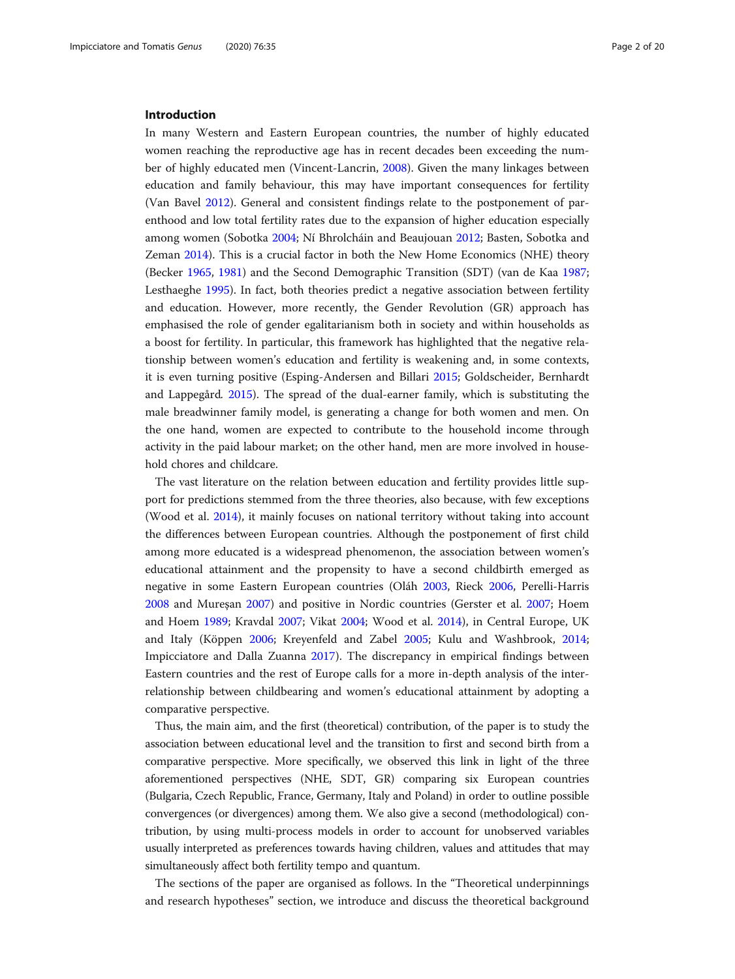# Introduction

In many Western and Eastern European countries, the number of highly educated women reaching the reproductive age has in recent decades been exceeding the number of highly educated men (Vincent-Lancrin, [2008\)](#page-19-0). Given the many linkages between education and family behaviour, this may have important consequences for fertility (Van Bavel [2012](#page-19-0)). General and consistent findings relate to the postponement of parenthood and low total fertility rates due to the expansion of higher education especially among women (Sobotka [2004](#page-19-0); Ní Bhrolcháin and Beaujouan [2012](#page-18-0); Basten, Sobotka and Zeman [2014](#page-17-0)). This is a crucial factor in both the New Home Economics (NHE) theory (Becker [1965](#page-17-0), [1981](#page-17-0)) and the Second Demographic Transition (SDT) (van de Kaa [1987](#page-19-0); Lesthaeghe [1995](#page-18-0)). In fact, both theories predict a negative association between fertility and education. However, more recently, the Gender Revolution (GR) approach has emphasised the role of gender egalitarianism both in society and within households as a boost for fertility. In particular, this framework has highlighted that the negative relationship between women's education and fertility is weakening and, in some contexts, it is even turning positive (Esping-Andersen and Billari [2015](#page-17-0); Goldscheider, Bernhardt and Lappegård. [2015\)](#page-17-0). The spread of the dual-earner family, which is substituting the male breadwinner family model, is generating a change for both women and men. On the one hand, women are expected to contribute to the household income through activity in the paid labour market; on the other hand, men are more involved in household chores and childcare.

The vast literature on the relation between education and fertility provides little support for predictions stemmed from the three theories, also because, with few exceptions (Wood et al. [2014\)](#page-19-0), it mainly focuses on national territory without taking into account the differences between European countries. Although the postponement of first child among more educated is a widespread phenomenon, the association between women's educational attainment and the propensity to have a second childbirth emerged as negative in some Eastern European countries (Oláh [2003,](#page-18-0) Rieck [2006,](#page-19-0) Perelli-Harris [2008](#page-19-0) and Mureşan [2007](#page-18-0)) and positive in Nordic countries (Gerster et al. [2007](#page-17-0); Hoem and Hoem [1989;](#page-18-0) Kravdal [2007](#page-18-0); Vikat [2004](#page-19-0); Wood et al. [2014](#page-19-0)), in Central Europe, UK and Italy (Köppen [2006;](#page-18-0) Kreyenfeld and Zabel [2005](#page-18-0); Kulu and Washbrook, [2014](#page-18-0); Impicciatore and Dalla Zuanna [2017\)](#page-18-0). The discrepancy in empirical findings between Eastern countries and the rest of Europe calls for a more in-depth analysis of the interrelationship between childbearing and women's educational attainment by adopting a comparative perspective.

Thus, the main aim, and the first (theoretical) contribution, of the paper is to study the association between educational level and the transition to first and second birth from a comparative perspective. More specifically, we observed this link in light of the three aforementioned perspectives (NHE, SDT, GR) comparing six European countries (Bulgaria, Czech Republic, France, Germany, Italy and Poland) in order to outline possible convergences (or divergences) among them. We also give a second (methodological) contribution, by using multi-process models in order to account for unobserved variables usually interpreted as preferences towards having children, values and attitudes that may simultaneously affect both fertility tempo and quantum.

The sections of the paper are organised as follows. In the "Theoretical underpinnings and research hypotheses" section, we introduce and discuss the theoretical background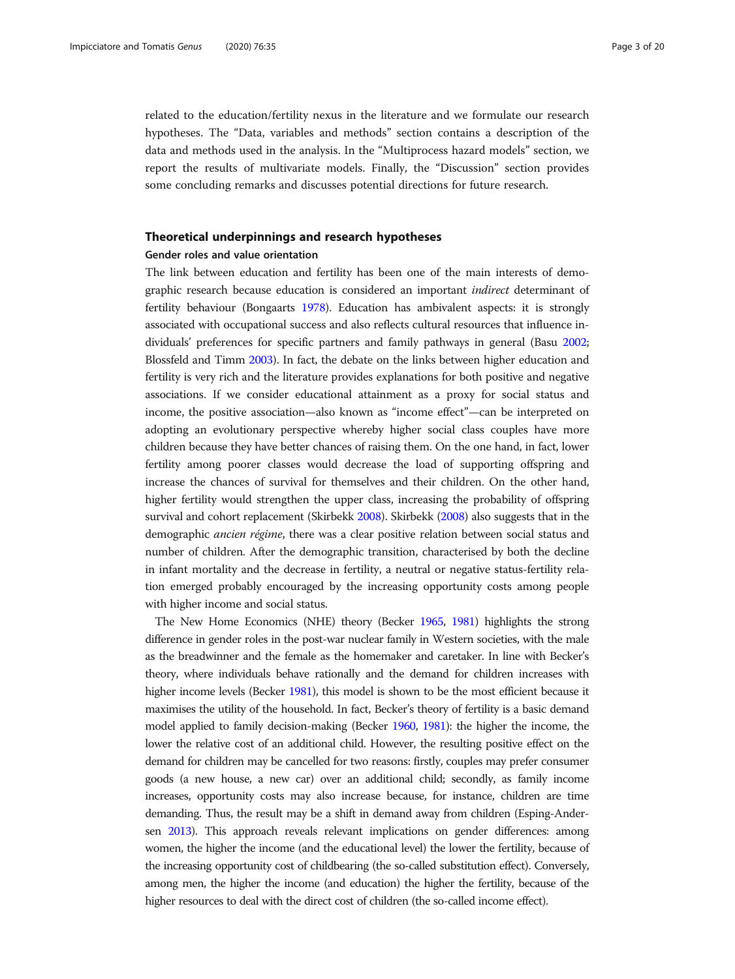related to the education/fertility nexus in the literature and we formulate our research hypotheses. The "Data, variables and methods" section contains a description of the data and methods used in the analysis. In the "Multiprocess hazard models" section, we report the results of multivariate models. Finally, the "Discussion" section provides some concluding remarks and discusses potential directions for future research.

# Theoretical underpinnings and research hypotheses

# Gender roles and value orientation

The link between education and fertility has been one of the main interests of demographic research because education is considered an important indirect determinant of fertility behaviour (Bongaarts [1978\)](#page-17-0). Education has ambivalent aspects: it is strongly associated with occupational success and also reflects cultural resources that influence individuals' preferences for specific partners and family pathways in general (Basu [2002](#page-17-0); Blossfeld and Timm [2003](#page-17-0)). In fact, the debate on the links between higher education and fertility is very rich and the literature provides explanations for both positive and negative associations. If we consider educational attainment as a proxy for social status and income, the positive association—also known as "income effect"—can be interpreted on adopting an evolutionary perspective whereby higher social class couples have more children because they have better chances of raising them. On the one hand, in fact, lower fertility among poorer classes would decrease the load of supporting offspring and increase the chances of survival for themselves and their children. On the other hand, higher fertility would strengthen the upper class, increasing the probability of offspring survival and cohort replacement (Skirbekk [2008\)](#page-19-0). Skirbekk [\(2008\)](#page-19-0) also suggests that in the demographic ancien régime, there was a clear positive relation between social status and number of children. After the demographic transition, characterised by both the decline in infant mortality and the decrease in fertility, a neutral or negative status-fertility relation emerged probably encouraged by the increasing opportunity costs among people with higher income and social status.

The New Home Economics (NHE) theory (Becker [1965](#page-17-0), [1981](#page-17-0)) highlights the strong difference in gender roles in the post-war nuclear family in Western societies, with the male as the breadwinner and the female as the homemaker and caretaker. In line with Becker's theory, where individuals behave rationally and the demand for children increases with higher income levels (Becker [1981](#page-17-0)), this model is shown to be the most efficient because it maximises the utility of the household. In fact, Becker's theory of fertility is a basic demand model applied to family decision-making (Becker [1960,](#page-17-0) [1981](#page-17-0)): the higher the income, the lower the relative cost of an additional child. However, the resulting positive effect on the demand for children may be cancelled for two reasons: firstly, couples may prefer consumer goods (a new house, a new car) over an additional child; secondly, as family income increases, opportunity costs may also increase because, for instance, children are time demanding. Thus, the result may be a shift in demand away from children (Esping-Andersen [2013](#page-17-0)). This approach reveals relevant implications on gender differences: among women, the higher the income (and the educational level) the lower the fertility, because of the increasing opportunity cost of childbearing (the so-called substitution effect). Conversely, among men, the higher the income (and education) the higher the fertility, because of the higher resources to deal with the direct cost of children (the so-called income effect).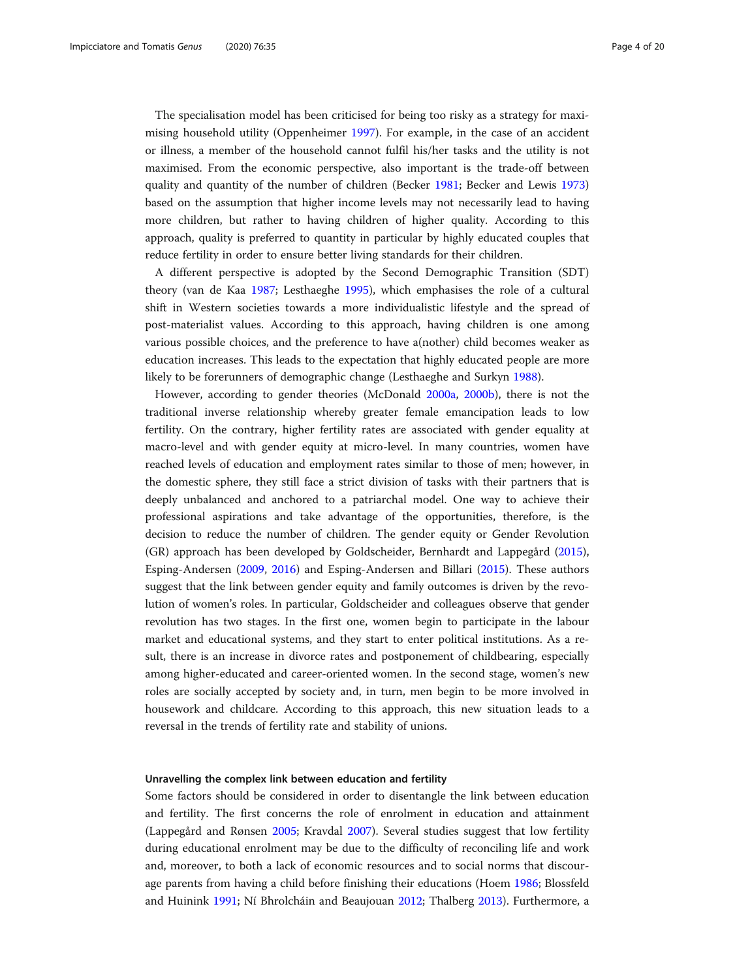The specialisation model has been criticised for being too risky as a strategy for maximising household utility (Oppenheimer [1997](#page-18-0)). For example, in the case of an accident or illness, a member of the household cannot fulfil his/her tasks and the utility is not maximised. From the economic perspective, also important is the trade-off between quality and quantity of the number of children (Becker [1981](#page-17-0); Becker and Lewis [1973](#page-17-0)) based on the assumption that higher income levels may not necessarily lead to having more children, but rather to having children of higher quality. According to this approach, quality is preferred to quantity in particular by highly educated couples that reduce fertility in order to ensure better living standards for their children.

A different perspective is adopted by the Second Demographic Transition (SDT) theory (van de Kaa [1987](#page-19-0); Lesthaeghe [1995](#page-18-0)), which emphasises the role of a cultural shift in Western societies towards a more individualistic lifestyle and the spread of post-materialist values. According to this approach, having children is one among various possible choices, and the preference to have a(nother) child becomes weaker as education increases. This leads to the expectation that highly educated people are more likely to be forerunners of demographic change (Lesthaeghe and Surkyn [1988\)](#page-18-0).

However, according to gender theories (McDonald [2000a,](#page-18-0) [2000b\)](#page-18-0), there is not the traditional inverse relationship whereby greater female emancipation leads to low fertility. On the contrary, higher fertility rates are associated with gender equality at macro-level and with gender equity at micro-level. In many countries, women have reached levels of education and employment rates similar to those of men; however, in the domestic sphere, they still face a strict division of tasks with their partners that is deeply unbalanced and anchored to a patriarchal model. One way to achieve their professional aspirations and take advantage of the opportunities, therefore, is the decision to reduce the number of children. The gender equity or Gender Revolution (GR) approach has been developed by Goldscheider, Bernhardt and Lappegård ([2015](#page-17-0)), Esping-Andersen ([2009](#page-17-0), [2016\)](#page-17-0) and Esping-Andersen and Billari ([2015](#page-17-0)). These authors suggest that the link between gender equity and family outcomes is driven by the revolution of women's roles. In particular, Goldscheider and colleagues observe that gender revolution has two stages. In the first one, women begin to participate in the labour market and educational systems, and they start to enter political institutions. As a result, there is an increase in divorce rates and postponement of childbearing, especially among higher-educated and career-oriented women. In the second stage, women's new roles are socially accepted by society and, in turn, men begin to be more involved in housework and childcare. According to this approach, this new situation leads to a reversal in the trends of fertility rate and stability of unions.

#### Unravelling the complex link between education and fertility

Some factors should be considered in order to disentangle the link between education and fertility. The first concerns the role of enrolment in education and attainment (Lappegård and Rønsen [2005](#page-18-0); Kravdal [2007](#page-18-0)). Several studies suggest that low fertility during educational enrolment may be due to the difficulty of reconciling life and work and, moreover, to both a lack of economic resources and to social norms that discourage parents from having a child before finishing their educations (Hoem [1986](#page-18-0); Blossfeld and Huinink [1991](#page-17-0); Ní Bhrolcháin and Beaujouan [2012](#page-18-0); Thalberg [2013](#page-19-0)). Furthermore, a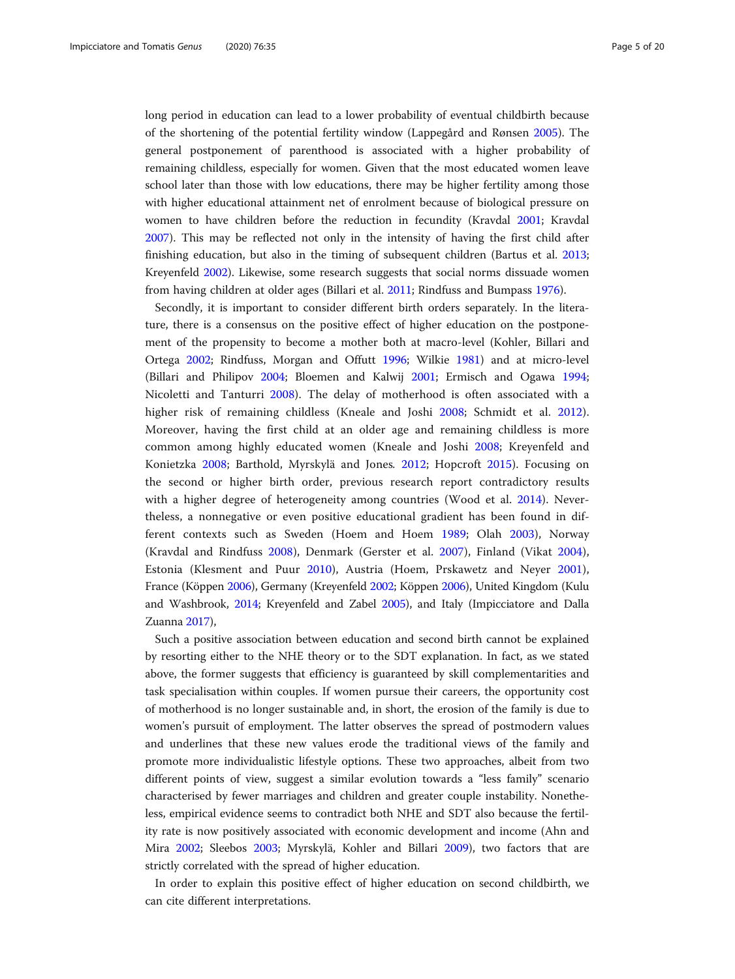long period in education can lead to a lower probability of eventual childbirth because of the shortening of the potential fertility window (Lappegård and Rønsen [2005](#page-18-0)). The general postponement of parenthood is associated with a higher probability of remaining childless, especially for women. Given that the most educated women leave school later than those with low educations, there may be higher fertility among those with higher educational attainment net of enrolment because of biological pressure on women to have children before the reduction in fecundity (Kravdal [2001;](#page-18-0) Kravdal [2007](#page-18-0)). This may be reflected not only in the intensity of having the first child after finishing education, but also in the timing of subsequent children (Bartus et al. [2013](#page-17-0); Kreyenfeld [2002\)](#page-18-0). Likewise, some research suggests that social norms dissuade women from having children at older ages (Billari et al. [2011;](#page-17-0) Rindfuss and Bumpass [1976\)](#page-19-0).

Secondly, it is important to consider different birth orders separately. In the literature, there is a consensus on the positive effect of higher education on the postponement of the propensity to become a mother both at macro-level (Kohler, Billari and Ortega [2002;](#page-18-0) Rindfuss, Morgan and Offutt [1996;](#page-19-0) Wilkie [1981](#page-19-0)) and at micro-level (Billari and Philipov [2004](#page-17-0); Bloemen and Kalwij [2001](#page-17-0); Ermisch and Ogawa [1994](#page-17-0); Nicoletti and Tanturri [2008\)](#page-18-0). The delay of motherhood is often associated with a higher risk of remaining childless (Kneale and Joshi [2008](#page-18-0); Schmidt et al. [2012](#page-19-0)). Moreover, having the first child at an older age and remaining childless is more common among highly educated women (Kneale and Joshi [2008;](#page-18-0) Kreyenfeld and Konietzka [2008;](#page-18-0) Barthold, Myrskylä and Jones. [2012;](#page-17-0) Hopcroft [2015\)](#page-18-0). Focusing on the second or higher birth order, previous research report contradictory results with a higher degree of heterogeneity among countries (Wood et al. [2014](#page-19-0)). Nevertheless, a nonnegative or even positive educational gradient has been found in different contexts such as Sweden (Hoem and Hoem [1989;](#page-18-0) Olah [2003](#page-18-0)), Norway (Kravdal and Rindfuss [2008\)](#page-18-0), Denmark (Gerster et al. [2007](#page-17-0)), Finland (Vikat [2004](#page-19-0)), Estonia (Klesment and Puur [2010\)](#page-18-0), Austria (Hoem, Prskawetz and Neyer [2001](#page-18-0)), France (Köppen [2006\)](#page-18-0), Germany (Kreyenfeld [2002](#page-18-0); Köppen [2006](#page-18-0)), United Kingdom (Kulu and Washbrook, [2014](#page-18-0); Kreyenfeld and Zabel [2005\)](#page-18-0), and Italy (Impicciatore and Dalla Zuanna [2017](#page-18-0)),

Such a positive association between education and second birth cannot be explained by resorting either to the NHE theory or to the SDT explanation. In fact, as we stated above, the former suggests that efficiency is guaranteed by skill complementarities and task specialisation within couples. If women pursue their careers, the opportunity cost of motherhood is no longer sustainable and, in short, the erosion of the family is due to women's pursuit of employment. The latter observes the spread of postmodern values and underlines that these new values erode the traditional views of the family and promote more individualistic lifestyle options. These two approaches, albeit from two different points of view, suggest a similar evolution towards a "less family" scenario characterised by fewer marriages and children and greater couple instability. Nonetheless, empirical evidence seems to contradict both NHE and SDT also because the fertility rate is now positively associated with economic development and income (Ahn and Mira [2002](#page-17-0); Sleebos [2003](#page-19-0); Myrskylä, Kohler and Billari [2009\)](#page-18-0), two factors that are strictly correlated with the spread of higher education.

In order to explain this positive effect of higher education on second childbirth, we can cite different interpretations.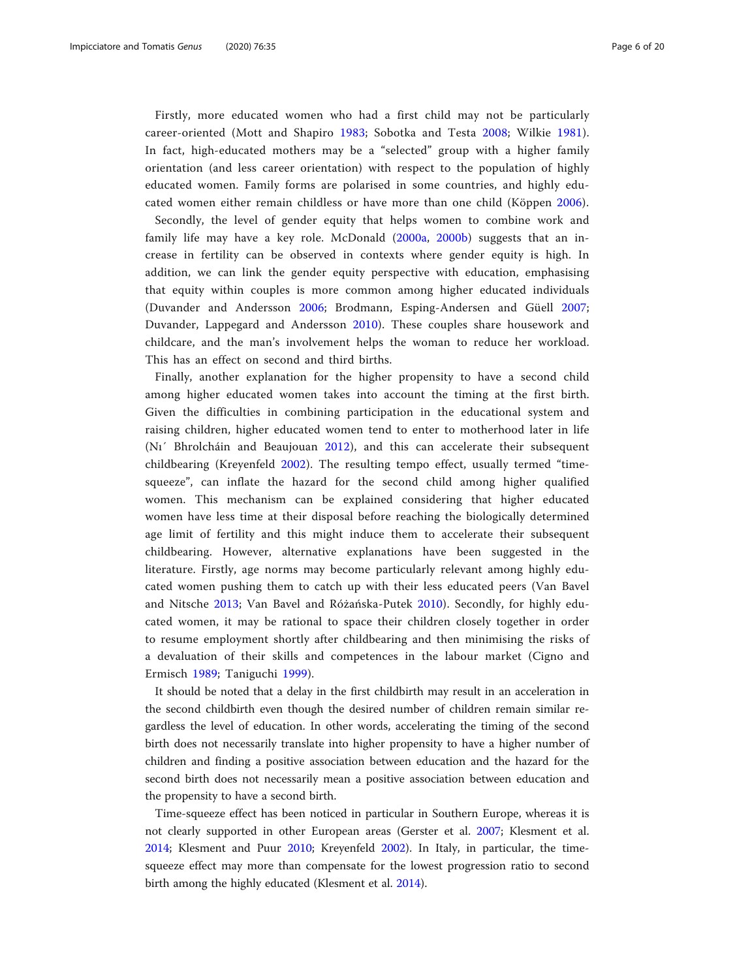Firstly, more educated women who had a first child may not be particularly career-oriented (Mott and Shapiro [1983;](#page-18-0) Sobotka and Testa [2008](#page-19-0); Wilkie [1981](#page-19-0)). In fact, high-educated mothers may be a "selected" group with a higher family orientation (and less career orientation) with respect to the population of highly educated women. Family forms are polarised in some countries, and highly educated women either remain childless or have more than one child (Köppen [2006\)](#page-18-0).

Secondly, the level of gender equity that helps women to combine work and family life may have a key role. McDonald [\(2000a](#page-18-0), [2000b](#page-18-0)) suggests that an increase in fertility can be observed in contexts where gender equity is high. In addition, we can link the gender equity perspective with education, emphasising that equity within couples is more common among higher educated individuals (Duvander and Andersson [2006;](#page-17-0) Brodmann, Esping-Andersen and Güell [2007](#page-17-0); Duvander, Lappegard and Andersson [2010](#page-17-0)). These couples share housework and childcare, and the man's involvement helps the woman to reduce her workload. This has an effect on second and third births.

Finally, another explanation for the higher propensity to have a second child among higher educated women takes into account the timing at the first birth. Given the difficulties in combining participation in the educational system and raising children, higher educated women tend to enter to motherhood later in life (Nı´ Bhrolcháin and Beaujouan [2012\)](#page-18-0), and this can accelerate their subsequent childbearing (Kreyenfeld [2002](#page-18-0)). The resulting tempo effect, usually termed "timesqueeze", can inflate the hazard for the second child among higher qualified women. This mechanism can be explained considering that higher educated women have less time at their disposal before reaching the biologically determined age limit of fertility and this might induce them to accelerate their subsequent childbearing. However, alternative explanations have been suggested in the literature. Firstly, age norms may become particularly relevant among highly educated women pushing them to catch up with their less educated peers (Van Bavel and Nitsche [2013;](#page-19-0) Van Bavel and Różańska-Putek [2010\)](#page-19-0). Secondly, for highly educated women, it may be rational to space their children closely together in order to resume employment shortly after childbearing and then minimising the risks of a devaluation of their skills and competences in the labour market (Cigno and Ermisch [1989](#page-17-0); Taniguchi [1999](#page-19-0)).

It should be noted that a delay in the first childbirth may result in an acceleration in the second childbirth even though the desired number of children remain similar regardless the level of education. In other words, accelerating the timing of the second birth does not necessarily translate into higher propensity to have a higher number of children and finding a positive association between education and the hazard for the second birth does not necessarily mean a positive association between education and the propensity to have a second birth.

Time-squeeze effect has been noticed in particular in Southern Europe, whereas it is not clearly supported in other European areas (Gerster et al. [2007;](#page-17-0) Klesment et al. [2014](#page-18-0); Klesment and Puur [2010;](#page-18-0) Kreyenfeld [2002\)](#page-18-0). In Italy, in particular, the timesqueeze effect may more than compensate for the lowest progression ratio to second birth among the highly educated (Klesment et al. [2014\)](#page-18-0).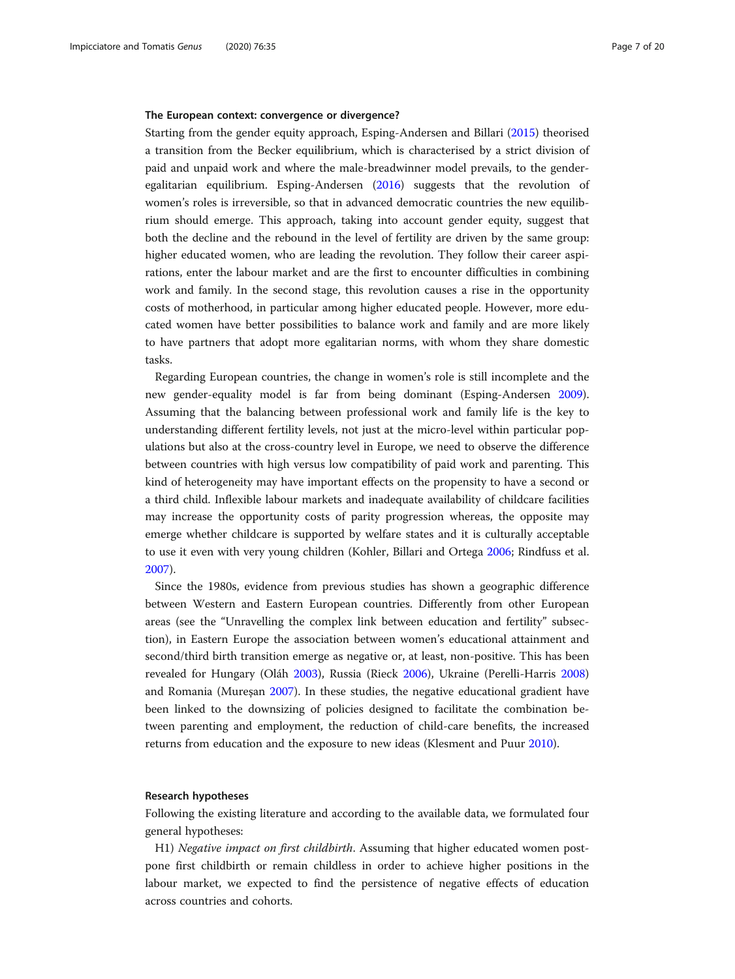#### The European context: convergence or divergence?

Starting from the gender equity approach, Esping-Andersen and Billari [\(2015\)](#page-17-0) theorised a transition from the Becker equilibrium, which is characterised by a strict division of paid and unpaid work and where the male-breadwinner model prevails, to the genderegalitarian equilibrium. Esping-Andersen [\(2016\)](#page-17-0) suggests that the revolution of women's roles is irreversible, so that in advanced democratic countries the new equilibrium should emerge. This approach, taking into account gender equity, suggest that both the decline and the rebound in the level of fertility are driven by the same group: higher educated women, who are leading the revolution. They follow their career aspirations, enter the labour market and are the first to encounter difficulties in combining work and family. In the second stage, this revolution causes a rise in the opportunity costs of motherhood, in particular among higher educated people. However, more educated women have better possibilities to balance work and family and are more likely to have partners that adopt more egalitarian norms, with whom they share domestic tasks.

Regarding European countries, the change in women's role is still incomplete and the new gender-equality model is far from being dominant (Esping-Andersen [2009](#page-17-0)). Assuming that the balancing between professional work and family life is the key to understanding different fertility levels, not just at the micro-level within particular populations but also at the cross-country level in Europe, we need to observe the difference between countries with high versus low compatibility of paid work and parenting. This kind of heterogeneity may have important effects on the propensity to have a second or a third child. Inflexible labour markets and inadequate availability of childcare facilities may increase the opportunity costs of parity progression whereas, the opposite may emerge whether childcare is supported by welfare states and it is culturally acceptable to use it even with very young children (Kohler, Billari and Ortega [2006](#page-18-0); Rindfuss et al. [2007](#page-19-0)).

Since the 1980s, evidence from previous studies has shown a geographic difference between Western and Eastern European countries. Differently from other European areas (see the "Unravelling the complex link between education and fertility" subsection), in Eastern Europe the association between women's educational attainment and second/third birth transition emerge as negative or, at least, non-positive. This has been revealed for Hungary (Oláh [2003\)](#page-18-0), Russia (Rieck [2006](#page-19-0)), Ukraine (Perelli-Harris [2008](#page-19-0)) and Romania (Mureşan [2007](#page-18-0)). In these studies, the negative educational gradient have been linked to the downsizing of policies designed to facilitate the combination between parenting and employment, the reduction of child-care benefits, the increased returns from education and the exposure to new ideas (Klesment and Puur [2010](#page-18-0)).

# Research hypotheses

Following the existing literature and according to the available data, we formulated four general hypotheses:

H1) Negative impact on first childbirth. Assuming that higher educated women postpone first childbirth or remain childless in order to achieve higher positions in the labour market, we expected to find the persistence of negative effects of education across countries and cohorts.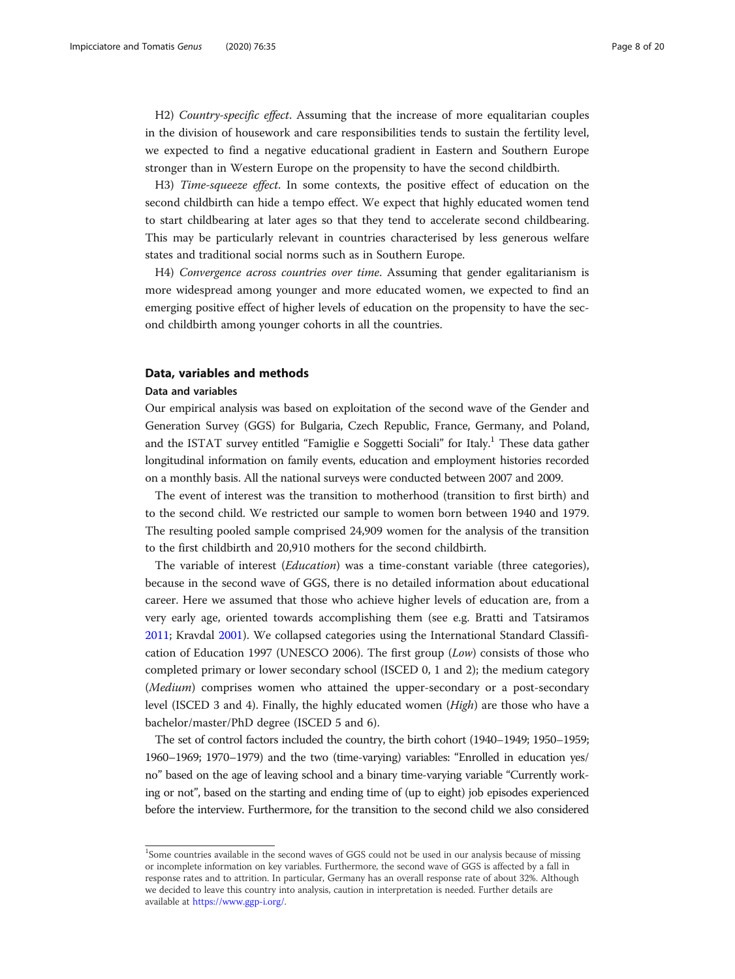H2) Country-specific effect. Assuming that the increase of more equalitarian couples in the division of housework and care responsibilities tends to sustain the fertility level, we expected to find a negative educational gradient in Eastern and Southern Europe stronger than in Western Europe on the propensity to have the second childbirth.

H3) Time-squeeze effect. In some contexts, the positive effect of education on the second childbirth can hide a tempo effect. We expect that highly educated women tend to start childbearing at later ages so that they tend to accelerate second childbearing. This may be particularly relevant in countries characterised by less generous welfare states and traditional social norms such as in Southern Europe.

H4) Convergence across countries over time. Assuming that gender egalitarianism is more widespread among younger and more educated women, we expected to find an emerging positive effect of higher levels of education on the propensity to have the second childbirth among younger cohorts in all the countries.

# Data, variables and methods

#### Data and variables

Our empirical analysis was based on exploitation of the second wave of the Gender and Generation Survey (GGS) for Bulgaria, Czech Republic, France, Germany, and Poland, and the ISTAT survey entitled "Famiglie e Soggetti Sociali" for Italy.<sup>1</sup> These data gather longitudinal information on family events, education and employment histories recorded on a monthly basis. All the national surveys were conducted between 2007 and 2009.

The event of interest was the transition to motherhood (transition to first birth) and to the second child. We restricted our sample to women born between 1940 and 1979. The resulting pooled sample comprised 24,909 women for the analysis of the transition to the first childbirth and 20,910 mothers for the second childbirth.

The variable of interest (Education) was a time-constant variable (three categories), because in the second wave of GGS, there is no detailed information about educational career. Here we assumed that those who achieve higher levels of education are, from a very early age, oriented towards accomplishing them (see e.g. Bratti and Tatsiramos [2011](#page-17-0); Kravdal [2001\)](#page-18-0). We collapsed categories using the International Standard Classification of Education 1997 (UNESCO 2006). The first group (Low) consists of those who completed primary or lower secondary school (ISCED 0, 1 and 2); the medium category (Medium) comprises women who attained the upper-secondary or a post-secondary level (ISCED 3 and 4). Finally, the highly educated women (High) are those who have a bachelor/master/PhD degree (ISCED 5 and 6).

The set of control factors included the country, the birth cohort (1940–1949; 1950–1959; 1960–1969; 1970–1979) and the two (time-varying) variables: "Enrolled in education yes/ no" based on the age of leaving school and a binary time-varying variable "Currently working or not", based on the starting and ending time of (up to eight) job episodes experienced before the interview. Furthermore, for the transition to the second child we also considered

<sup>&</sup>lt;sup>1</sup>Some countries available in the second waves of GGS could not be used in our analysis because of missing or incomplete information on key variables. Furthermore, the second wave of GGS is affected by a fall in response rates and to attrition. In particular, Germany has an overall response rate of about 32%. Although we decided to leave this country into analysis, caution in interpretation is needed. Further details are available at [https://www.ggp-i.org/.](https://www.ggp-i.org/)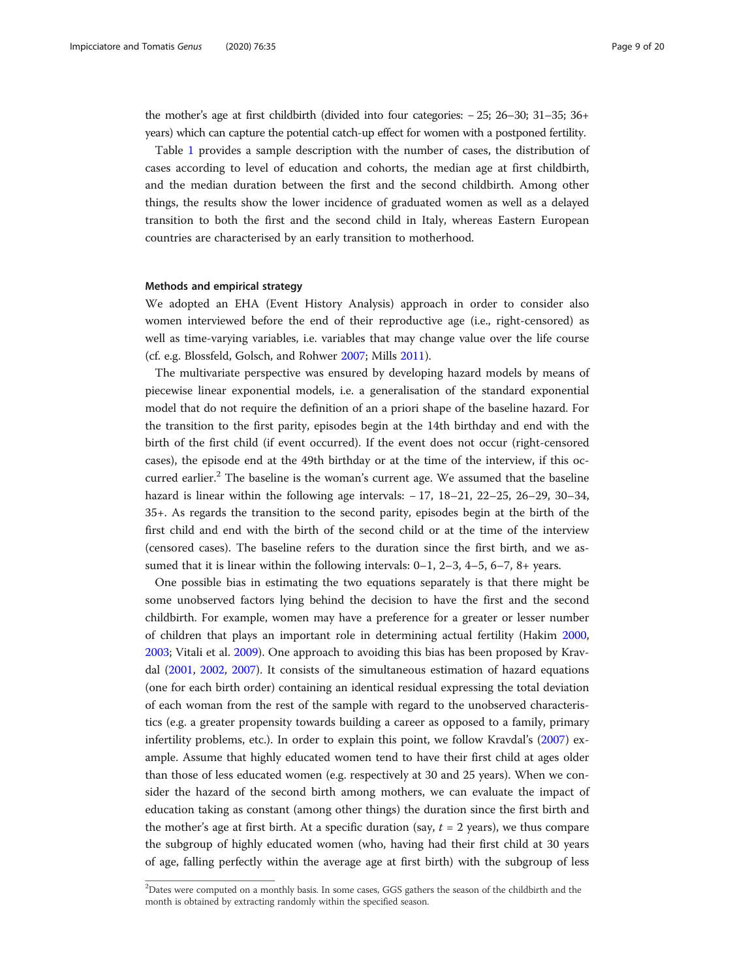the mother's age at first childbirth (divided into four categories: − 25; 26–30; 31–35; 36+ years) which can capture the potential catch-up effect for women with a postponed fertility.

Table [1](#page-9-0) provides a sample description with the number of cases, the distribution of cases according to level of education and cohorts, the median age at first childbirth, and the median duration between the first and the second childbirth. Among other things, the results show the lower incidence of graduated women as well as a delayed transition to both the first and the second child in Italy, whereas Eastern European countries are characterised by an early transition to motherhood.

# Methods and empirical strategy

We adopted an EHA (Event History Analysis) approach in order to consider also women interviewed before the end of their reproductive age (i.e., right-censored) as well as time-varying variables, i.e. variables that may change value over the life course (cf. e.g. Blossfeld, Golsch, and Rohwer [2007](#page-17-0); Mills [2011](#page-18-0)).

The multivariate perspective was ensured by developing hazard models by means of piecewise linear exponential models, i.e. a generalisation of the standard exponential model that do not require the definition of an a priori shape of the baseline hazard. For the transition to the first parity, episodes begin at the 14th birthday and end with the birth of the first child (if event occurred). If the event does not occur (right-censored cases), the episode end at the 49th birthday or at the time of the interview, if this occurred earlier.<sup>2</sup> The baseline is the woman's current age. We assumed that the baseline hazard is linear within the following age intervals: − 17, 18–21, 22–25, 26–29, 30–34, 35+. As regards the transition to the second parity, episodes begin at the birth of the first child and end with the birth of the second child or at the time of the interview (censored cases). The baseline refers to the duration since the first birth, and we assumed that it is linear within the following intervals: 0–1, 2–3, 4–5, 6–7, 8+ years.

One possible bias in estimating the two equations separately is that there might be some unobserved factors lying behind the decision to have the first and the second childbirth. For example, women may have a preference for a greater or lesser number of children that plays an important role in determining actual fertility (Hakim [2000](#page-17-0), [2003](#page-17-0); Vitali et al. [2009](#page-19-0)). One approach to avoiding this bias has been proposed by Kravdal ([2001](#page-18-0), [2002,](#page-18-0) [2007\)](#page-18-0). It consists of the simultaneous estimation of hazard equations (one for each birth order) containing an identical residual expressing the total deviation of each woman from the rest of the sample with regard to the unobserved characteristics (e.g. a greater propensity towards building a career as opposed to a family, primary infertility problems, etc.). In order to explain this point, we follow Kravdal's ([2007](#page-18-0)) example. Assume that highly educated women tend to have their first child at ages older than those of less educated women (e.g. respectively at 30 and 25 years). When we consider the hazard of the second birth among mothers, we can evaluate the impact of education taking as constant (among other things) the duration since the first birth and the mother's age at first birth. At a specific duration (say,  $t = 2$  years), we thus compare the subgroup of highly educated women (who, having had their first child at 30 years of age, falling perfectly within the average age at first birth) with the subgroup of less

 $^{2}$ Dates were computed on a monthly basis. In some cases, GGS gathers the season of the childbirth and the month is obtained by extracting randomly within the specified season.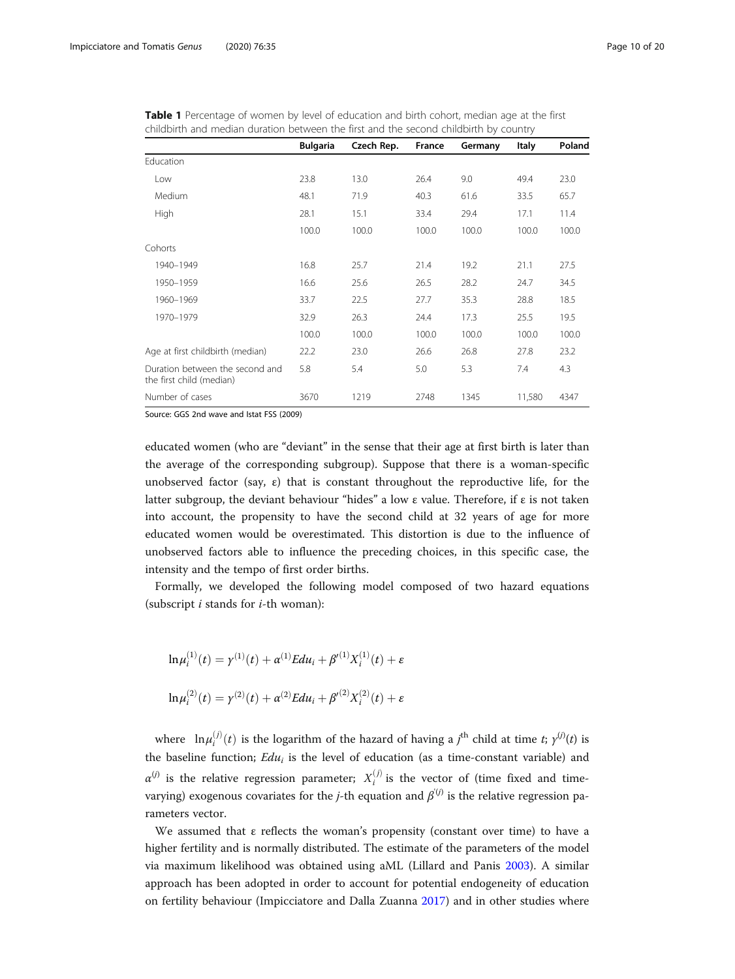| childbirth and median duration between the first and the second childbirth by country |                 |            |        |         |              |        |  |  |  |  |  |
|---------------------------------------------------------------------------------------|-----------------|------------|--------|---------|--------------|--------|--|--|--|--|--|
|                                                                                       | <b>Bulgaria</b> | Czech Rep. | France | Germany | <b>Italy</b> | Poland |  |  |  |  |  |
| Education                                                                             |                 |            |        |         |              |        |  |  |  |  |  |
| Low                                                                                   | 23.8            | 13.0       | 26.4   | 9.0     | 49.4         | 23.0   |  |  |  |  |  |
| Medium                                                                                | 48.1            | 71.9       | 40.3   | 61.6    | 33.5         | 65.7   |  |  |  |  |  |
| <b>High</b>                                                                           | 28.1            | 15.1       | 33.4   | 29.4    | 17.1         | 11.4   |  |  |  |  |  |
|                                                                                       | 100.0           | 100.0      | 100.0  | 100.0   | 100.0        | 100.0  |  |  |  |  |  |
| Cohorts                                                                               |                 |            |        |         |              |        |  |  |  |  |  |
| 1940-1949                                                                             | 16.8            | 25.7       | 21.4   | 19.2    | 21.1         | 27.5   |  |  |  |  |  |
| 1950-1959                                                                             | 16.6            | 25.6       | 26.5   | 28.2    | 24.7         | 34.5   |  |  |  |  |  |
| 1960-1969                                                                             | 33.7            | 22.5       | 27.7   | 35.3    | 28.8         | 18.5   |  |  |  |  |  |
| 1970-1979                                                                             | 32.9            | 26.3       | 24.4   | 17.3    | 25.5         | 19.5   |  |  |  |  |  |
|                                                                                       | 100.0           | 100.0      | 100.0  | 100.0   | 100.0        | 100.0  |  |  |  |  |  |
| Age at first childbirth (median)                                                      | 22.2            | 23.0       | 26.6   | 26.8    | 27.8         | 23.2   |  |  |  |  |  |
| Duration between the second and<br>the first child (median)                           | 5.8             | 5.4        | 5.0    | 5.3     | 7.4          | 4.3    |  |  |  |  |  |

<span id="page-9-0"></span>Table 1 Percentage of women by level of education and birth cohort, median age at the first<br>shildhigh and modian duration between the first and the second shildhigh by security. childbirth and median duration between the first and the second childbirth by country

Source: GGS 2nd wave and Istat FSS (2009)

educated women (who are "deviant" in the sense that their age at first birth is later than the average of the corresponding subgroup). Suppose that there is a woman-specific unobserved factor (say,  $\varepsilon$ ) that is constant throughout the reproductive life, for the latter subgroup, the deviant behaviour "hides" a low ε value. Therefore, if ε is not taken into account, the propensity to have the second child at 32 years of age for more educated women would be overestimated. This distortion is due to the influence of unobserved factors able to influence the preceding choices, in this specific case, the intensity and the tempo of first order births.

Number of cases 3670 1219 2748 1345 11,580 4347

Formally, we developed the following model composed of two hazard equations (subscript  $i$  stands for  $i$ -th woman):

$$
\ln \mu_i^{(1)}(t) = \gamma^{(1)}(t) + \alpha^{(1)} E du_i + \beta'^{(1)} X_i^{(1)}(t) + \varepsilon
$$
  

$$
\ln \mu_i^{(2)}(t) = \gamma^{(2)}(t) + \alpha^{(2)} E du_i + \beta'^{(2)} X_i^{(2)}(t) + \varepsilon
$$

where  $\ln \mu_i^{(j)}(t)$  is the logarithm of the hazard of having a j<sup>th</sup> child at time t;  $\gamma^{(j)}(t)$  is the baseline function;  $Edu_i$  is the level of education (as a time-constant variable) and  $\alpha^{(j)}$  is the relative regression parameter;  $X_i^{(j)}$  is the vector of (time fixed and timevarying) exogenous covariates for the *j*-th equation and  $\beta^{(j)}$  is the relative regression parameters vector.

We assumed that  $\varepsilon$  reflects the woman's propensity (constant over time) to have a higher fertility and is normally distributed. The estimate of the parameters of the model via maximum likelihood was obtained using aML (Lillard and Panis [2003](#page-18-0)). A similar approach has been adopted in order to account for potential endogeneity of education on fertility behaviour (Impicciatore and Dalla Zuanna [2017](#page-18-0)) and in other studies where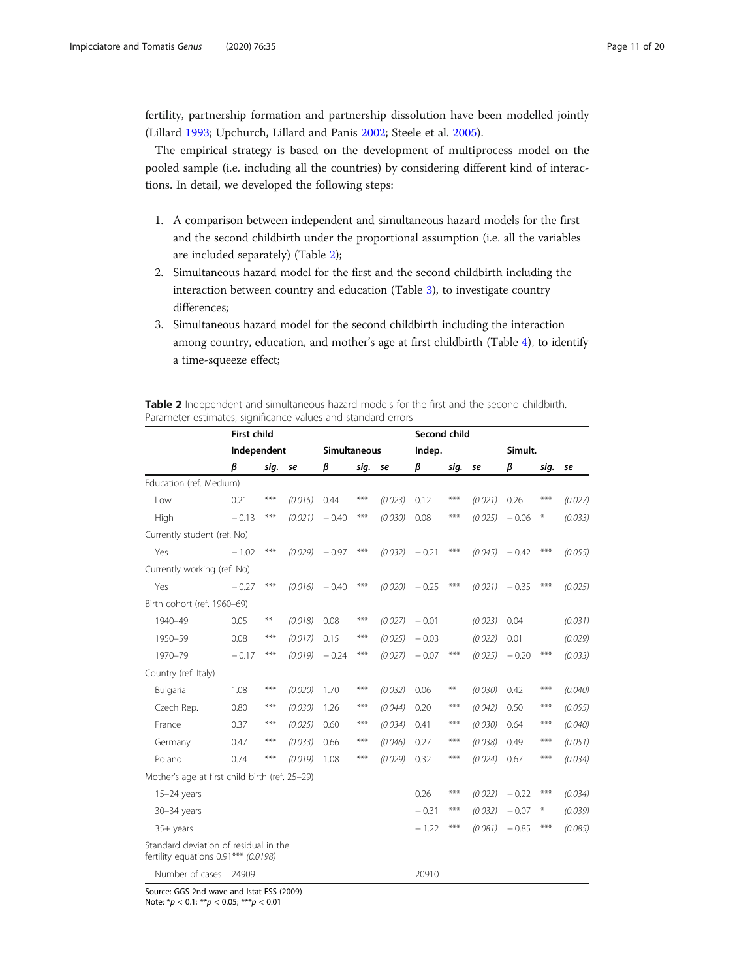<span id="page-10-0"></span>fertility, partnership formation and partnership dissolution have been modelled jointly (Lillard [1993;](#page-18-0) Upchurch, Lillard and Panis [2002](#page-19-0); Steele et al. [2005\)](#page-19-0).

The empirical strategy is based on the development of multiprocess model on the pooled sample (i.e. including all the countries) by considering different kind of interactions. In detail, we developed the following steps:

- 1. A comparison between independent and simultaneous hazard models for the first and the second childbirth under the proportional assumption (i.e. all the variables are included separately) (Table 2);
- 2. Simultaneous hazard model for the first and the second childbirth including the interaction between country and education (Table [3](#page-11-0)), to investigate country differences;
- 3. Simultaneous hazard model for the second childbirth including the interaction among country, education, and mother's age at first childbirth (Table [4\)](#page-11-0), to identify a time-squeeze effect;

| <b>Table 2</b> Independent and simultaneous hazard models for the first and the second childbirth. |  |  |  |  |  |  |
|----------------------------------------------------------------------------------------------------|--|--|--|--|--|--|
| Parameter estimates, significance values and standard errors                                       |  |  |  |  |  |  |

|                                                                               | <b>First child</b> |       |         |              |       |         | Second child |       |         |         |        |         |
|-------------------------------------------------------------------------------|--------------------|-------|---------|--------------|-------|---------|--------------|-------|---------|---------|--------|---------|
|                                                                               | Independent        |       |         | Simultaneous |       |         | Indep.       |       |         | Simult. |        |         |
|                                                                               | β                  | sig.  | se      | β            | sig.  | se      | β            | sig.  | se      | β       | sig.   | se      |
| Education (ref. Medium)                                                       |                    |       |         |              |       |         |              |       |         |         |        |         |
| Low                                                                           | 0.21               | ***   | (0.015) | 0.44         | ***   | (0.023) | 0.12         | $***$ | (0.021) | 0.26    | $***$  | (0.027) |
| High                                                                          | $-0.13$            | $***$ | (0.021) | $-0.40$      | ***   | (0.030) | 0.08         | $***$ | (0.025) | $-0.06$ | $\ast$ | (0.033) |
| Currently student (ref. No)                                                   |                    |       |         |              |       |         |              |       |         |         |        |         |
| Yes                                                                           | $-1.02$            | ***   | (0.029) | $-0.97$      | ***   | (0.032) | $-0.21$      | ***   | (0.045) | $-0.42$ | ***    | (0.055) |
| Currently working (ref. No)                                                   |                    |       |         |              |       |         |              |       |         |         |        |         |
| Yes                                                                           | $-0.27$            | ***   | (0.016) | $-0.40$      | $***$ | (0.020) | $-0.25$      | $***$ | (0.021) | $-0.35$ | $***$  | (0.025) |
| Birth cohort (ref. 1960-69)                                                   |                    |       |         |              |       |         |              |       |         |         |        |         |
| 1940-49                                                                       | 0.05               | **    | (0.018) | 0.08         | ***   | (0.027) | $-0.01$      |       | (0.023) | 0.04    |        | (0.031) |
| 1950-59                                                                       | 0.08               | $***$ | (0.017) | 0.15         | ***   | (0.025) | $-0.03$      |       | (0.022) | 0.01    |        | (0.029) |
| 1970-79                                                                       | $-0.17$            | ***   | (0.019) | $-0.24$      | ***   | (0.027) | $-0.07$      | ***   | (0.025) | $-0.20$ | ***    | (0.033) |
| Country (ref. Italy)                                                          |                    |       |         |              |       |         |              |       |         |         |        |         |
| Bulgaria                                                                      | 1.08               | ***   | (0.020) | 1.70         | ***   | (0.032) | 0.06         | $**$  | (0.030) | 0.42    | ***    | (0.040) |
| Czech Rep.                                                                    | 0.80               | ***   | (0.030) | 1.26         | ***   | (0.044) | 0.20         | $***$ | (0.042) | 0.50    | $***$  | (0.055) |
| France                                                                        | 0.37               | ***   | (0.025) | 0.60         | ***   | (0.034) | 0.41         | ***   | (0.030) | 0.64    | ***    | (0.040) |
| Germany                                                                       | 0.47               | ***   | (0.033) | 0.66         | ***   | (0.046) | 0.27         | ***   | (0.038) | 0.49    | $***$  | (0.051) |
| Poland                                                                        | 0.74               | ***   | (0.019) | 1.08         | ***   | (0.029) | 0.32         | ***   | (0.024) | 0.67    | ***    | (0.034) |
| Mother's age at first child birth (ref. 25-29)                                |                    |       |         |              |       |         |              |       |         |         |        |         |
| $15-24$ years                                                                 |                    |       |         |              |       |         | 0.26         | ***   | (0.022) | $-0.22$ | ***    | (0.034) |
| 30-34 years                                                                   |                    |       |         |              |       |         | $-0.31$      | $***$ | (0.032) | $-0.07$ | $\ast$ | (0.039) |
| $35+$ years                                                                   |                    |       |         |              |       |         | $-1.22$      | ***   | (0.081) | $-0.85$ | ***    | (0.085) |
| Standard deviation of residual in the<br>fertility equations 0.91*** (0.0198) |                    |       |         |              |       |         |              |       |         |         |        |         |
| Number of cases                                                               | 24909              |       |         |              |       |         | 20910        |       |         |         |        |         |

Source: GGS 2nd wave and Istat FSS (2009)

Note:  $* p < 0.1; ** p < 0.05; ** p < 0.01$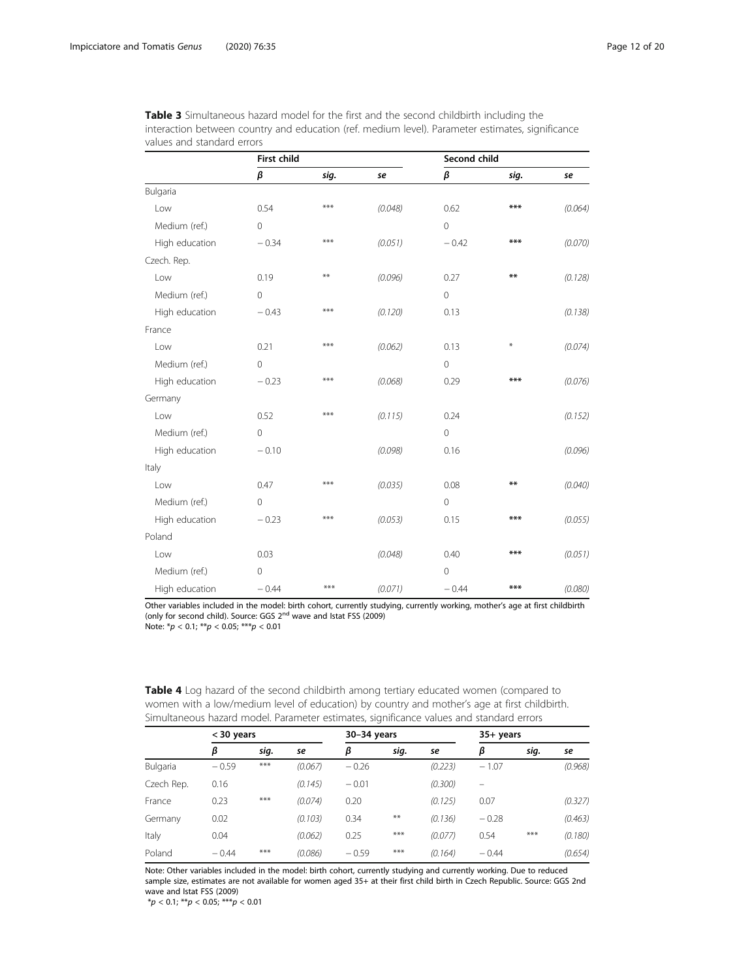<span id="page-11-0"></span>

| <b>Table 3</b> Simultaneous hazard model for the first and the second childbirth including the   |  |
|--------------------------------------------------------------------------------------------------|--|
| interaction between country and education (ref. medium level). Parameter estimates, significance |  |
| values and standard errors                                                                       |  |

|                | <b>First child</b> |      |         | Second child   |                  |         |  |  |  |
|----------------|--------------------|------|---------|----------------|------------------|---------|--|--|--|
|                | β                  | sig. | se      | $\pmb{\beta}$  | sig.             | se      |  |  |  |
| Bulgaria       |                    |      |         |                |                  |         |  |  |  |
| Low            | 0.54               | ***  | (0.048) | 0.62           | ***              | (0.064) |  |  |  |
| Medium (ref.)  | $\overline{0}$     |      |         | $\overline{0}$ |                  |         |  |  |  |
| High education | $-0.34$            | ***  | (0.051) | $-0.42$        | ***              | (0.070) |  |  |  |
| Czech. Rep.    |                    |      |         |                |                  |         |  |  |  |
| Low            | 0.19               | $**$ | (0.096) | 0.27           | $**$             | (0.128) |  |  |  |
| Medium (ref.)  | $\mathbf{0}$       |      |         | $\overline{0}$ |                  |         |  |  |  |
| High education | $-0.43$            | ***  | (0.120) | 0.13           |                  | (0.138) |  |  |  |
| France         |                    |      |         |                |                  |         |  |  |  |
| Low            | 0.21               | ***  | (0.062) | 0.13           | $\divideontimes$ | (0.074) |  |  |  |
| Medium (ref.)  | $\mathbf 0$        |      |         | $\mathbf 0$    |                  |         |  |  |  |
| High education | $-0.23$            | ***  | (0.068) | 0.29           | ***              | (0.076) |  |  |  |
| Germany        |                    |      |         |                |                  |         |  |  |  |
| Low            | 0.52               | ***  | (0.115) | 0.24           |                  | (0.152) |  |  |  |
| Medium (ref.)  | $\overline{0}$     |      |         | $\mathbf{0}$   |                  |         |  |  |  |
| High education | $-0.10$            |      | (0.098) | 0.16           |                  | (0.096) |  |  |  |
| Italy          |                    |      |         |                |                  |         |  |  |  |
| Low            | 0.47               | ***  | (0.035) | 0.08           | $**$             | (0.040) |  |  |  |
| Medium (ref.)  | $\mathbf{0}$       |      |         | $\mathbf 0$    |                  |         |  |  |  |
| High education | $-0.23$            | ***  | (0.053) | 0.15           | $***$            | (0.055) |  |  |  |
| Poland         |                    |      |         |                |                  |         |  |  |  |
| Low            | 0.03               |      | (0.048) | 0.40           | $***$            | (0.051) |  |  |  |
| Medium (ref.)  | $\overline{0}$     |      |         | $\overline{0}$ |                  |         |  |  |  |
| High education | $-0.44$            | ***  | (0.071) | $-0.44$        | ***              | (0.080) |  |  |  |

Other variables included in the model: birth cohort, currently studying, currently working, mother's age at first childbirth (only for second child). Source: GGS 2<sup>nd</sup> wave and Istat FSS (2009) Note:  $np < 0.1$ ;  $**p < 0.05$ ;  $***p < 0.01$ 

Table 4 Log hazard of the second childbirth among tertiary educated women (compared to women with a low/medium level of education) by country and mother's age at first childbirth. Simultaneous hazard model. Parameter estimates, significance values and standard errors

|            | < 30 years |       |         | 30-34 years |       |         | 35+ years |      |         |
|------------|------------|-------|---------|-------------|-------|---------|-----------|------|---------|
|            | β          | sig.  | se      | β           | sig.  | se      | β         | sig. | se      |
| Bulgaria   | $-0.59$    | $***$ | (0.067) | $-0.26$     |       | (0.223) | $-1.07$   |      | (0.968) |
| Czech Rep. | 0.16       |       | (0.145) | $-0.01$     |       | (0.300) | $\equiv$  |      |         |
| France     | 0.23       | $***$ | (0.074) | 0.20        |       | (0.125) | 0.07      |      | (0.327) |
| Germany    | 0.02       |       | (0.103) | 0.34        | $***$ | (0.136) | $-0.28$   |      | (0.463) |
| Italy      | 0.04       |       | (0.062) | 0.25        | $***$ | (0.077) | 0.54      | ***  | (0.180) |
| Poland     | $-0.44$    | $***$ | (0.086) | $-0.59$     | $***$ | (0.164) | $-0.44$   |      | (0.654) |

Note: Other variables included in the model: birth cohort, currently studying and currently working. Due to reduced sample size, estimates are not available for women aged 35+ at their first child birth in Czech Republic. Source: GGS 2nd wave and Istat FSS (2009)

 $^{\ast}p$  < 0.1;  $^{\ast\ast}p$  < 0.05;  $^{\ast\ast\ast}p$  < 0.01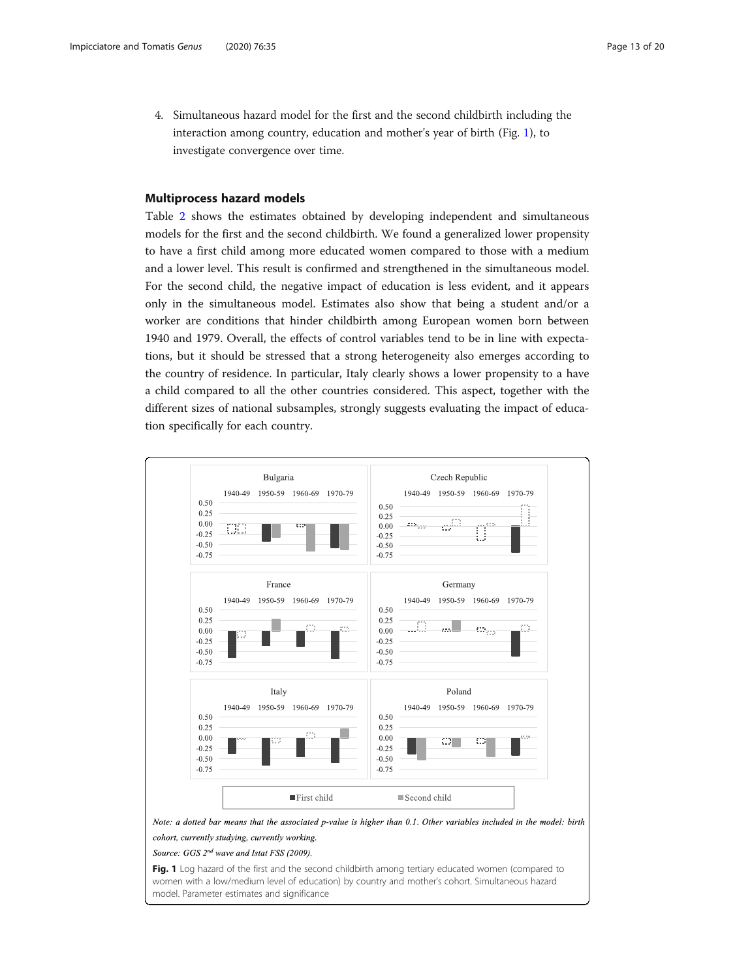<span id="page-12-0"></span>4. Simultaneous hazard model for the first and the second childbirth including the interaction among country, education and mother's year of birth (Fig. 1), to investigate convergence over time.

# Multiprocess hazard models

Table [2](#page-10-0) shows the estimates obtained by developing independent and simultaneous models for the first and the second childbirth. We found a generalized lower propensity to have a first child among more educated women compared to those with a medium and a lower level. This result is confirmed and strengthened in the simultaneous model. For the second child, the negative impact of education is less evident, and it appears only in the simultaneous model. Estimates also show that being a student and/or a worker are conditions that hinder childbirth among European women born between 1940 and 1979. Overall, the effects of control variables tend to be in line with expectations, but it should be stressed that a strong heterogeneity also emerges according to the country of residence. In particular, Italy clearly shows a lower propensity to a have a child compared to all the other countries considered. This aspect, together with the different sizes of national subsamples, strongly suggests evaluating the impact of education specifically for each country.



Source: GGS 2<sup>nd</sup> wave and Istat FSS (2009).

Fig. 1 Log hazard of the first and the second childbirth among tertiary educated women (compared to women with a low/medium level of education) by country and mother's cohort. Simultaneous hazard model. Parameter estimates and significance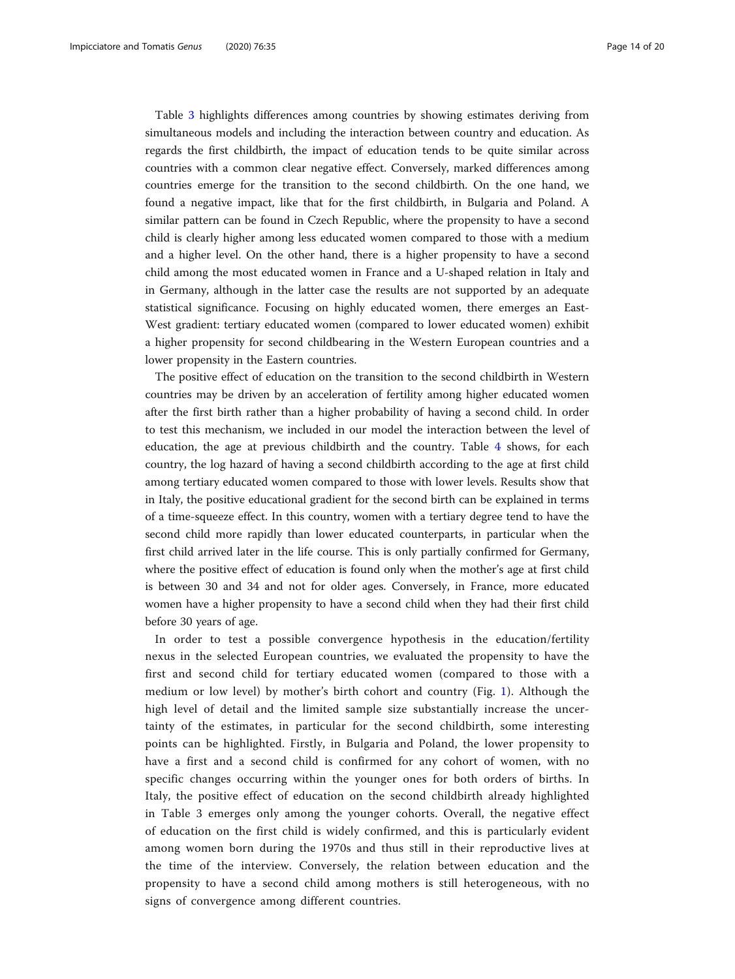Table [3](#page-11-0) highlights differences among countries by showing estimates deriving from simultaneous models and including the interaction between country and education. As regards the first childbirth, the impact of education tends to be quite similar across countries with a common clear negative effect. Conversely, marked differences among countries emerge for the transition to the second childbirth. On the one hand, we found a negative impact, like that for the first childbirth, in Bulgaria and Poland. A similar pattern can be found in Czech Republic, where the propensity to have a second child is clearly higher among less educated women compared to those with a medium and a higher level. On the other hand, there is a higher propensity to have a second child among the most educated women in France and a U-shaped relation in Italy and in Germany, although in the latter case the results are not supported by an adequate statistical significance. Focusing on highly educated women, there emerges an East-West gradient: tertiary educated women (compared to lower educated women) exhibit a higher propensity for second childbearing in the Western European countries and a lower propensity in the Eastern countries.

The positive effect of education on the transition to the second childbirth in Western countries may be driven by an acceleration of fertility among higher educated women after the first birth rather than a higher probability of having a second child. In order to test this mechanism, we included in our model the interaction between the level of education, the age at previous childbirth and the country. Table [4](#page-11-0) shows, for each country, the log hazard of having a second childbirth according to the age at first child among tertiary educated women compared to those with lower levels. Results show that in Italy, the positive educational gradient for the second birth can be explained in terms of a time-squeeze effect. In this country, women with a tertiary degree tend to have the second child more rapidly than lower educated counterparts, in particular when the first child arrived later in the life course. This is only partially confirmed for Germany, where the positive effect of education is found only when the mother's age at first child is between 30 and 34 and not for older ages. Conversely, in France, more educated women have a higher propensity to have a second child when they had their first child before 30 years of age.

In order to test a possible convergence hypothesis in the education/fertility nexus in the selected European countries, we evaluated the propensity to have the first and second child for tertiary educated women (compared to those with a medium or low level) by mother's birth cohort and country (Fig. [1\)](#page-12-0). Although the high level of detail and the limited sample size substantially increase the uncertainty of the estimates, in particular for the second childbirth, some interesting points can be highlighted. Firstly, in Bulgaria and Poland, the lower propensity to have a first and a second child is confirmed for any cohort of women, with no specific changes occurring within the younger ones for both orders of births. In Italy, the positive effect of education on the second childbirth already highlighted in Table 3 emerges only among the younger cohorts. Overall, the negative effect of education on the first child is widely confirmed, and this is particularly evident among women born during the 1970s and thus still in their reproductive lives at the time of the interview. Conversely, the relation between education and the propensity to have a second child among mothers is still heterogeneous, with no signs of convergence among different countries.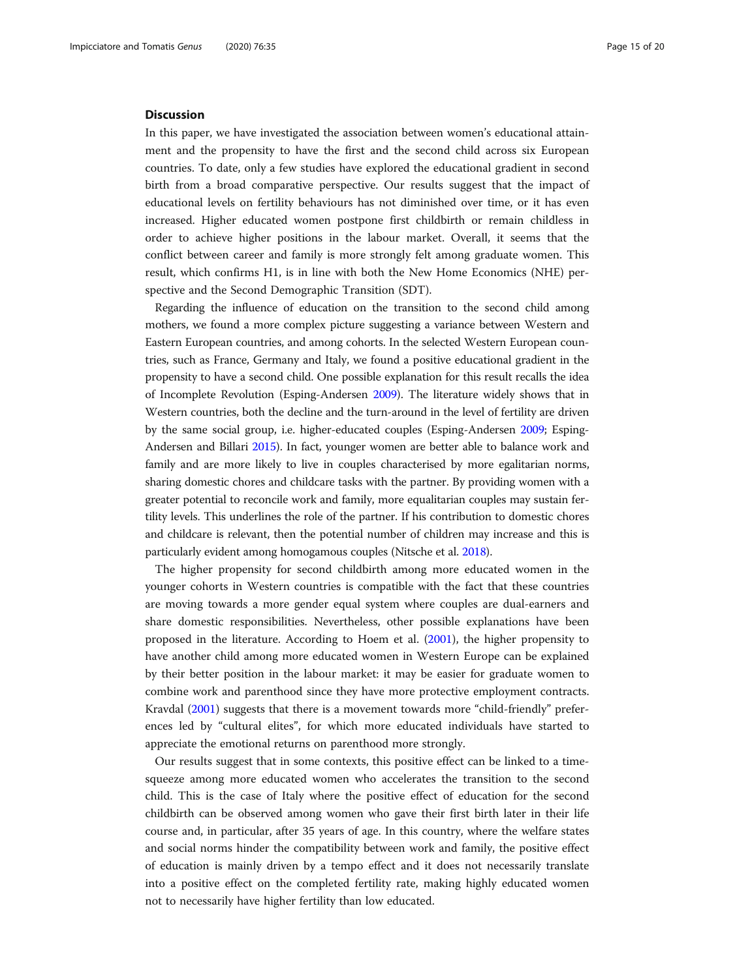#### **Discussion**

In this paper, we have investigated the association between women's educational attainment and the propensity to have the first and the second child across six European countries. To date, only a few studies have explored the educational gradient in second birth from a broad comparative perspective. Our results suggest that the impact of educational levels on fertility behaviours has not diminished over time, or it has even increased. Higher educated women postpone first childbirth or remain childless in order to achieve higher positions in the labour market. Overall, it seems that the conflict between career and family is more strongly felt among graduate women. This result, which confirms H1, is in line with both the New Home Economics (NHE) perspective and the Second Demographic Transition (SDT).

Regarding the influence of education on the transition to the second child among mothers, we found a more complex picture suggesting a variance between Western and Eastern European countries, and among cohorts. In the selected Western European countries, such as France, Germany and Italy, we found a positive educational gradient in the propensity to have a second child. One possible explanation for this result recalls the idea of Incomplete Revolution (Esping-Andersen [2009\)](#page-17-0). The literature widely shows that in Western countries, both the decline and the turn-around in the level of fertility are driven by the same social group, i.e. higher-educated couples (Esping-Andersen [2009](#page-17-0); Esping-Andersen and Billari [2015\)](#page-17-0). In fact, younger women are better able to balance work and family and are more likely to live in couples characterised by more egalitarian norms, sharing domestic chores and childcare tasks with the partner. By providing women with a greater potential to reconcile work and family, more equalitarian couples may sustain fertility levels. This underlines the role of the partner. If his contribution to domestic chores and childcare is relevant, then the potential number of children may increase and this is particularly evident among homogamous couples (Nitsche et al. [2018\)](#page-18-0).

The higher propensity for second childbirth among more educated women in the younger cohorts in Western countries is compatible with the fact that these countries are moving towards a more gender equal system where couples are dual-earners and share domestic responsibilities. Nevertheless, other possible explanations have been proposed in the literature. According to Hoem et al. ([2001\)](#page-18-0), the higher propensity to have another child among more educated women in Western Europe can be explained by their better position in the labour market: it may be easier for graduate women to combine work and parenthood since they have more protective employment contracts. Kravdal [\(2001\)](#page-18-0) suggests that there is a movement towards more "child-friendly" preferences led by "cultural elites", for which more educated individuals have started to appreciate the emotional returns on parenthood more strongly.

Our results suggest that in some contexts, this positive effect can be linked to a timesqueeze among more educated women who accelerates the transition to the second child. This is the case of Italy where the positive effect of education for the second childbirth can be observed among women who gave their first birth later in their life course and, in particular, after 35 years of age. In this country, where the welfare states and social norms hinder the compatibility between work and family, the positive effect of education is mainly driven by a tempo effect and it does not necessarily translate into a positive effect on the completed fertility rate, making highly educated women not to necessarily have higher fertility than low educated.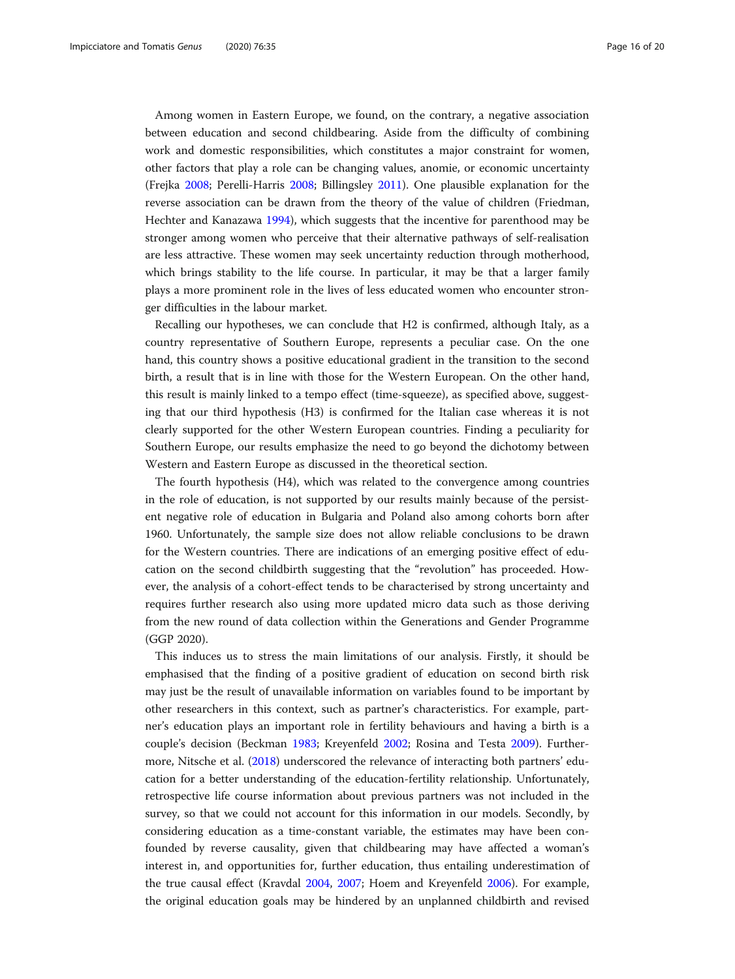Among women in Eastern Europe, we found, on the contrary, a negative association between education and second childbearing. Aside from the difficulty of combining work and domestic responsibilities, which constitutes a major constraint for women, other factors that play a role can be changing values, anomie, or economic uncertainty (Frejka [2008;](#page-17-0) Perelli-Harris [2008;](#page-19-0) Billingsley [2011](#page-17-0)). One plausible explanation for the reverse association can be drawn from the theory of the value of children (Friedman, Hechter and Kanazawa [1994](#page-17-0)), which suggests that the incentive for parenthood may be stronger among women who perceive that their alternative pathways of self-realisation are less attractive. These women may seek uncertainty reduction through motherhood, which brings stability to the life course. In particular, it may be that a larger family plays a more prominent role in the lives of less educated women who encounter stronger difficulties in the labour market.

Recalling our hypotheses, we can conclude that H2 is confirmed, although Italy, as a country representative of Southern Europe, represents a peculiar case. On the one hand, this country shows a positive educational gradient in the transition to the second birth, a result that is in line with those for the Western European. On the other hand, this result is mainly linked to a tempo effect (time-squeeze), as specified above, suggesting that our third hypothesis (H3) is confirmed for the Italian case whereas it is not clearly supported for the other Western European countries. Finding a peculiarity for Southern Europe, our results emphasize the need to go beyond the dichotomy between Western and Eastern Europe as discussed in the theoretical section.

The fourth hypothesis (H4), which was related to the convergence among countries in the role of education, is not supported by our results mainly because of the persistent negative role of education in Bulgaria and Poland also among cohorts born after 1960. Unfortunately, the sample size does not allow reliable conclusions to be drawn for the Western countries. There are indications of an emerging positive effect of education on the second childbirth suggesting that the "revolution" has proceeded. However, the analysis of a cohort-effect tends to be characterised by strong uncertainty and requires further research also using more updated micro data such as those deriving from the new round of data collection within the Generations and Gender Programme (GGP 2020).

This induces us to stress the main limitations of our analysis. Firstly, it should be emphasised that the finding of a positive gradient of education on second birth risk may just be the result of unavailable information on variables found to be important by other researchers in this context, such as partner's characteristics. For example, partner's education plays an important role in fertility behaviours and having a birth is a couple's decision (Beckman [1983;](#page-17-0) Kreyenfeld [2002;](#page-18-0) Rosina and Testa [2009\)](#page-19-0). Furthermore, Nitsche et al. [\(2018\)](#page-18-0) underscored the relevance of interacting both partners' education for a better understanding of the education-fertility relationship. Unfortunately, retrospective life course information about previous partners was not included in the survey, so that we could not account for this information in our models. Secondly, by considering education as a time-constant variable, the estimates may have been confounded by reverse causality, given that childbearing may have affected a woman's interest in, and opportunities for, further education, thus entailing underestimation of the true causal effect (Kravdal [2004](#page-18-0), [2007](#page-18-0); Hoem and Kreyenfeld [2006\)](#page-18-0). For example, the original education goals may be hindered by an unplanned childbirth and revised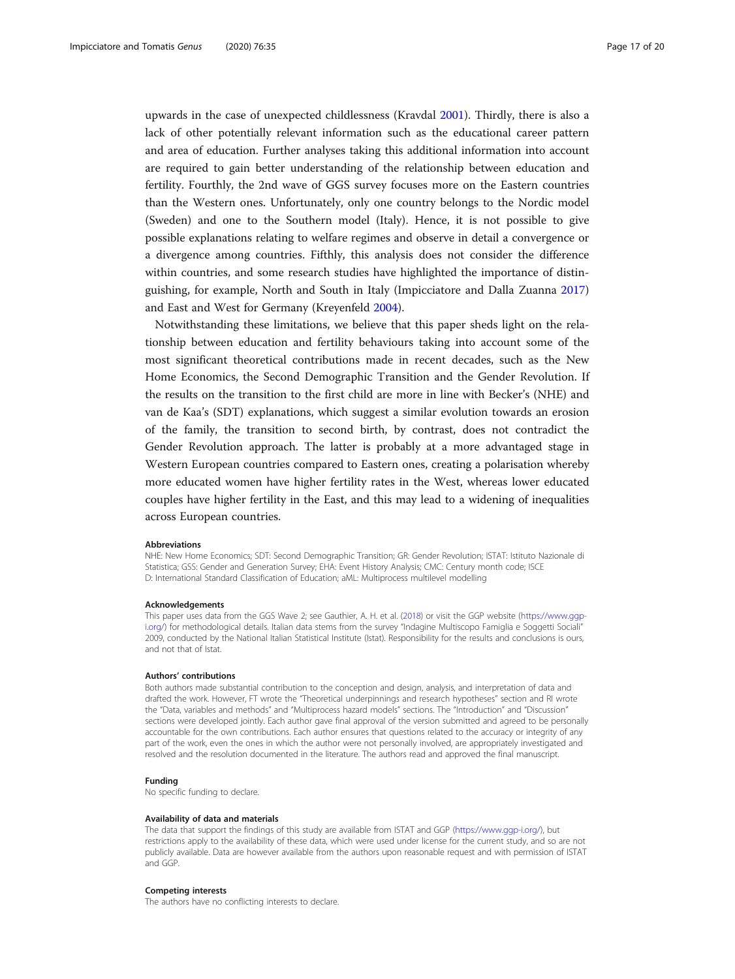upwards in the case of unexpected childlessness (Kravdal [2001](#page-18-0)). Thirdly, there is also a lack of other potentially relevant information such as the educational career pattern and area of education. Further analyses taking this additional information into account are required to gain better understanding of the relationship between education and fertility. Fourthly, the 2nd wave of GGS survey focuses more on the Eastern countries than the Western ones. Unfortunately, only one country belongs to the Nordic model (Sweden) and one to the Southern model (Italy). Hence, it is not possible to give possible explanations relating to welfare regimes and observe in detail a convergence or a divergence among countries. Fifthly, this analysis does not consider the difference within countries, and some research studies have highlighted the importance of distinguishing, for example, North and South in Italy (Impicciatore and Dalla Zuanna [2017](#page-18-0)) and East and West for Germany (Kreyenfeld [2004](#page-18-0)).

Notwithstanding these limitations, we believe that this paper sheds light on the relationship between education and fertility behaviours taking into account some of the most significant theoretical contributions made in recent decades, such as the New Home Economics, the Second Demographic Transition and the Gender Revolution. If the results on the transition to the first child are more in line with Becker's (NHE) and van de Kaa's (SDT) explanations, which suggest a similar evolution towards an erosion of the family, the transition to second birth, by contrast, does not contradict the Gender Revolution approach. The latter is probably at a more advantaged stage in Western European countries compared to Eastern ones, creating a polarisation whereby more educated women have higher fertility rates in the West, whereas lower educated couples have higher fertility in the East, and this may lead to a widening of inequalities across European countries.

#### Abbreviations

NHE: New Home Economics; SDT: Second Demographic Transition; GR: Gender Revolution; ISTAT: Istituto Nazionale di Statistica; GSS: Gender and Generation Survey; EHA: Event History Analysis; CMC: Century month code; ISCE D: International Standard Classification of Education; aML: Multiprocess multilevel modelling

#### Acknowledgements

This paper uses data from the GGS Wave 2; see Gauthier, A. H. et al. ([2018](#page-17-0)) or visit the GGP website [\(https://www.ggp](https://www.ggp-i.org/)[i.org/](https://www.ggp-i.org/)) for methodological details. Italian data stems from the survey "Indagine Multiscopo Famiglia e Soggetti Sociali" 2009, conducted by the National Italian Statistical Institute (Istat). Responsibility for the results and conclusions is ours, and not that of Istat.

#### Authors' contributions

Both authors made substantial contribution to the conception and design, analysis, and interpretation of data and drafted the work. However, FT wrote the "Theoretical underpinnings and research hypotheses" section and RI wrote the "Data, variables and methods" and "Multiprocess hazard models" sections. The "Introduction" and "Discussion" sections were developed jointly. Each author gave final approval of the version submitted and agreed to be personally accountable for the own contributions. Each author ensures that questions related to the accuracy or integrity of any part of the work, even the ones in which the author were not personally involved, are appropriately investigated and resolved and the resolution documented in the literature. The authors read and approved the final manuscript.

#### Funding

No specific funding to declare.

#### Availability of data and materials

The data that support the findings of this study are available from ISTAT and GGP (<https://www.ggp-i.org/>), but restrictions apply to the availability of these data, which were used under license for the current study, and so are not publicly available. Data are however available from the authors upon reasonable request and with permission of ISTAT and GGP.

#### Competing interests

The authors have no conflicting interests to declare.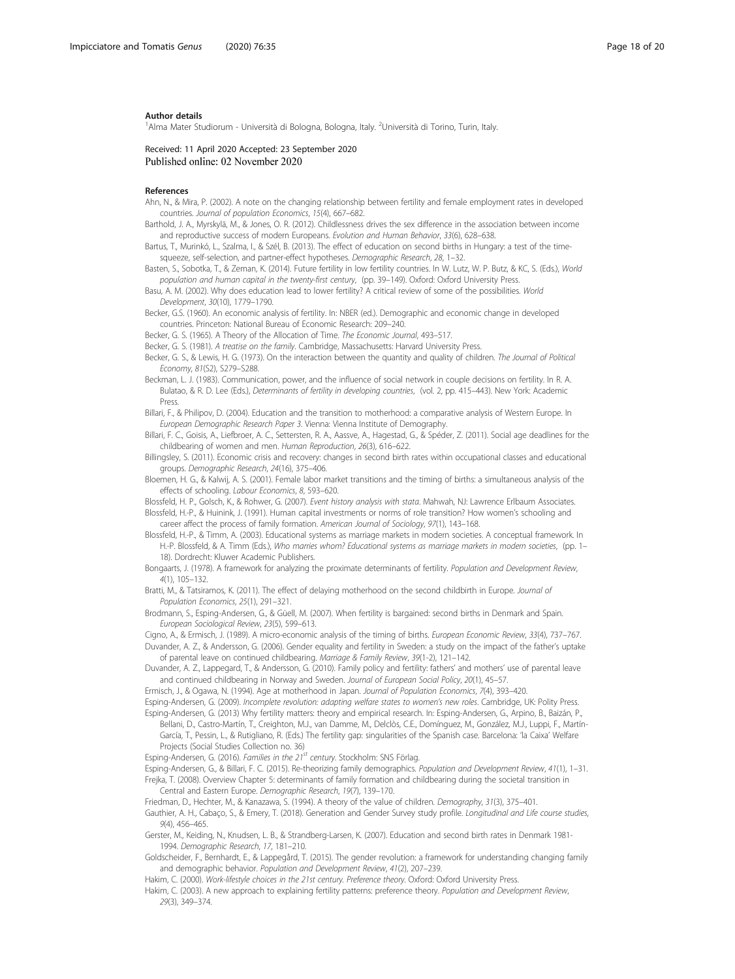#### <span id="page-17-0"></span>Author details

<sup>1</sup> Alma Mater Studiorum - Università di Bologna, Bologna, Italy. <sup>2</sup> Università di Torino, Turin, Italy.

Received: 11 April 2020 Accepted: 23 September 2020 Published online: 02 November 2020

#### References

- Ahn, N., & Mira, P. (2002). A note on the changing relationship between fertility and female employment rates in developed countries. Journal of population Economics, 15(4), 667–682.
- Barthold, J. A., Myrskylä, M., & Jones, O. R. (2012). Childlessness drives the sex difference in the association between income and reproductive success of modern Europeans. Evolution and Human Behavior, 33(6), 628–638.
- Bartus, T., Murinkó, L., Szalma, I., & Szél, B. (2013). The effect of education on second births in Hungary: a test of the timesqueeze, self-selection, and partner-effect hypotheses. Demographic Research, 28, 1–32.
- Basten, S., Sobotka, T., & Zeman, K. (2014). Future fertility in low fertility countries. In W. Lutz, W. P. Butz, & KC, S. (Eds.), World population and human capital in the twenty-first century, (pp. 39–149). Oxford: Oxford University Press.
- Basu, A. M. (2002). Why does education lead to lower fertility? A critical review of some of the possibilities. World Development, 30(10), 1779–1790.
- Becker, G.S. (1960). An economic analysis of fertility. In: NBER (ed.). Demographic and economic change in developed countries. Princeton: National Bureau of Economic Research: 209–240.
- Becker, G. S. (1965). A Theory of the Allocation of Time. The Economic Journal, 493–517.
- Becker, G. S. (1981). A treatise on the family. Cambridge, Massachusetts: Harvard University Press.
- Becker, G. S., & Lewis, H. G. (1973). On the interaction between the quantity and quality of children. The Journal of Political Economy, 81(S2), S279–S288.
- Beckman, L. J. (1983). Communication, power, and the influence of social network in couple decisions on fertility. In R. A. Bulatao, & R. D. Lee (Eds.), Determinants of fertility in developing countries, (vol. 2, pp. 415–443). New York: Academic Press.
- Billari, F., & Philipov, D. (2004). Education and the transition to motherhood: a comparative analysis of Western Europe. In European Demographic Research Paper 3. Vienna: Vienna Institute of Demography.
- Billari, F. C., Goisis, A., Liefbroer, A. C., Settersten, R. A., Aassve, A., Hagestad, G., & Spéder, Z. (2011). Social age deadlines for the childbearing of women and men. Human Reproduction, 26(3), 616–622.
- Billingsley, S. (2011). Economic crisis and recovery: changes in second birth rates within occupational classes and educational groups. Demographic Research, 24(16), 375–406.
- Bloemen, H. G., & Kalwij, A. S. (2001). Female labor market transitions and the timing of births: a simultaneous analysis of the effects of schooling. Labour Economics, 8, 593–620.
- Blossfeld, H. P., Golsch, K., & Rohwer, G. (2007). Event history analysis with stata. Mahwah, NJ: Lawrence Erlbaum Associates.
- Blossfeld, H.-P., & Huinink, J. (1991). Human capital investments or norms of role transition? How women's schooling and career affect the process of family formation. American Journal of Sociology, 97(1), 143–168.
- Blossfeld, H.-P., & Timm, A. (2003). Educational systems as marriage markets in modern societies. A conceptual framework. In H.-P. Blossfeld, & A. Timm (Eds.), Who marries whom? Educational systems as marriage markets in modern societies, (pp. 1– 18). Dordrecht: Kluwer Academic Publishers.
- Bongaarts, J. (1978). A framework for analyzing the proximate determinants of fertility. Population and Development Review, 4(1), 105–132.
- Bratti, M., & Tatsiramos, K. (2011). The effect of delaying motherhood on the second childbirth in Europe. Journal of Population Economics, 25(1), 291–321.
- Brodmann, S., Esping-Andersen, G., & Güell, M. (2007). When fertility is bargained: second births in Denmark and Spain. European Sociological Review, 23(5), 599–613.

Cigno, A., & Ermisch, J. (1989). A micro-economic analysis of the timing of births. European Economic Review, 33(4), 737–767.

Duvander, A. Z., & Andersson, G. (2006). Gender equality and fertility in Sweden: a study on the impact of the father's uptake of parental leave on continued childbearing. Marriage & Family Review, 39(1-2), 121–142.

- Duvander, A. Z., Lappegard, T., & Andersson, G. (2010). Family policy and fertility: fathers' and mothers' use of parental leave and continued childbearing in Norway and Sweden. Journal of European Social Policy, 20(1), 45-57.
- Ermisch, J., & Ogawa, N. (1994). Age at motherhood in Japan. Journal of Population Economics, 7(4), 393–420.

Esping-Andersen, G. (2009). Incomplete revolution: adapting welfare states to women's new roles. Cambridge, UK: Polity Press.

Esping-Andersen, G. (2013) Why fertility matters: theory and empirical research. In: Esping-Andersen, G., Arpino, B., Baizán, P.,

- Bellani, D., Castro-Martín, T., Creighton, M.J., van Damme, M., Delclòs, C.E., Domínguez, M., González, M.J., Luppi, F., Martín-García, T., Pessin, L., & Rutigliano, R. (Eds.) The fertility gap: singularities of the Spanish case. Barcelona: 'la Caixa' Welfare Projects (Social Studies Collection no. 36)
- Esping-Andersen, G. (2016). Families in the 21<sup>st</sup> century. Stockholm: SNS Förlag.
- Esping-Andersen, G., & Billari, F. C. (2015). Re-theorizing family demographics. Population and Development Review, 41(1), 1–31.
- Frejka, T. (2008). Overview Chapter 5: determinants of family formation and childbearing during the societal transition in Central and Eastern Europe. Demographic Research, 19(7), 139–170.
- Friedman, D., Hechter, M., & Kanazawa, S. (1994). A theory of the value of children. Demography, 31(3), 375–401.
- Gauthier, A. H., Cabaço, S., & Emery, T. (2018). Generation and Gender Survey study profile. Longitudinal and Life course studies, 9(4), 456–465.
- Gerster, M., Keiding, N., Knudsen, L. B., & Strandberg-Larsen, K. (2007). Education and second birth rates in Denmark 1981- 1994. Demographic Research, 17, 181–210.
- Goldscheider, F., Bernhardt, E., & Lappegård, T. (2015). The gender revolution: a framework for understanding changing family and demographic behavior. Population and Development Review, 41(2), 207–239.

Hakim, C. (2000). Work-lifestyle choices in the 21st century. Preference theory. Oxford: Oxford University Press.

Hakim, C. (2003). A new approach to explaining fertility patterns: preference theory. Population and Development Review, 29(3), 349–374.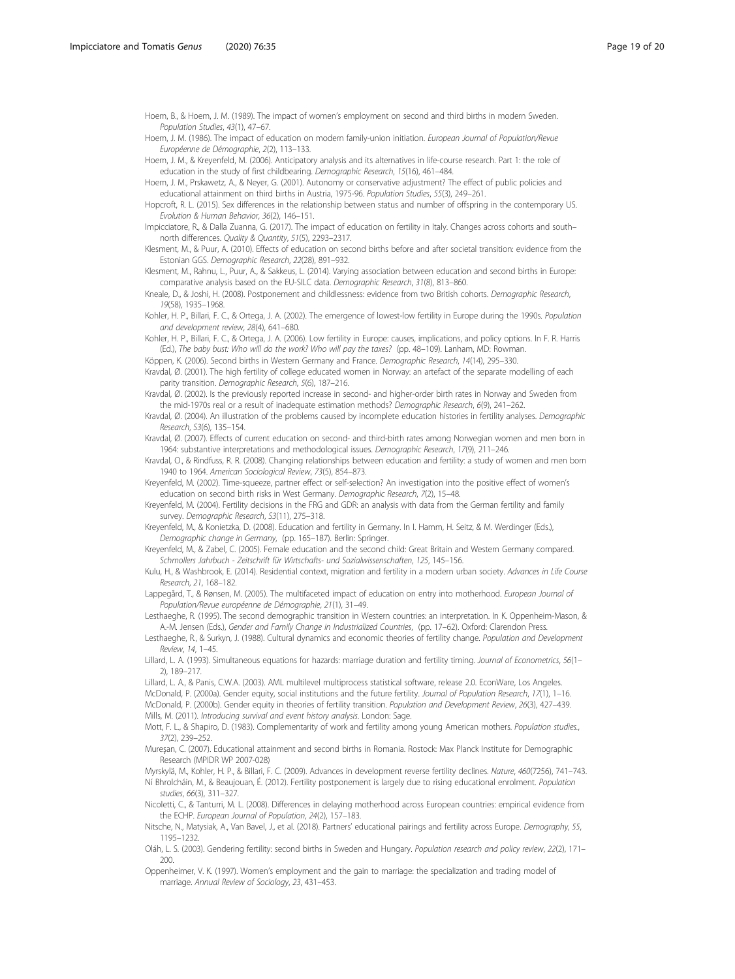<span id="page-18-0"></span>Hoem, B., & Hoem, J. M. (1989). The impact of women's employment on second and third births in modern Sweden. Population Studies, 43(1), 47–67.

Hoem, J. M. (1986). The impact of education on modern family-union initiation. European Journal of Population/Revue Européenne de Démographie, 2(2), 113–133.

Hoem, J. M., & Kreyenfeld, M. (2006). Anticipatory analysis and its alternatives in life-course research. Part 1: the role of education in the study of first childbearing. Demographic Research, 15(16), 461–484.

Hoem, J. M., Prskawetz, A., & Neyer, G. (2001). Autonomy or conservative adjustment? The effect of public policies and educational attainment on third births in Austria, 1975-96. Population Studies, 55(3), 249–261.

Hopcroft, R. L. (2015). Sex differences in the relationship between status and number of offspring in the contemporary US. Evolution & Human Behavior, 36(2), 146–151.

Impicciatore, R., & Dalla Zuanna, G. (2017). The impact of education on fertility in Italy. Changes across cohorts and south– north differences. Quality & Quantity, 51(5), 2293–2317.

Klesment, M., & Puur, A. (2010). Effects of education on second births before and after societal transition: evidence from the Estonian GGS. Demographic Research, 22(28), 891–932.

Klesment, M., Rahnu, L., Puur, A., & Sakkeus, L. (2014). Varying association between education and second births in Europe: comparative analysis based on the EU-SILC data. Demographic Research, 31(8), 813–860.

Kneale, D., & Joshi, H. (2008). Postponement and childlessness: evidence from two British cohorts. Demographic Research, 19(58), 1935–1968.

Kohler, H. P., Billari, F. C., & Ortega, J. A. (2002). The emergence of lowest-low fertility in Europe during the 1990s. Population and development review, 28(4), 641–680.

Kohler, H. P., Billari, F. C., & Ortega, J. A. (2006). Low fertility in Europe: causes, implications, and policy options. In F. R. Harris (Ed.), The baby bust: Who will do the work? Who will pay the taxes? (pp. 48–109). Lanham, MD: Rowman.

Köppen, K. (2006). Second births in Western Germany and France. Demographic Research, 14(14), 295-330.

Kravdal, Ø. (2001). The high fertility of college educated women in Norway: an artefact of the separate modelling of each parity transition. Demographic Research, 5(6), 187–216.

Kravdal, Ø. (2002). Is the previously reported increase in second- and higher-order birth rates in Norway and Sweden from the mid-1970s real or a result of inadequate estimation methods? Demographic Research, 6(9), 241–262.

Kravdal, Ø. (2004). An illustration of the problems caused by incomplete education histories in fertility analyses. Demographic Research, S3(6), 135–154.

Kravdal, Ø. (2007). Effects of current education on second- and third-birth rates among Norwegian women and men born in 1964: substantive interpretations and methodological issues. Demographic Research, 17(9), 211–246.

Kravdal, O., & Rindfuss, R. R. (2008). Changing relationships between education and fertility: a study of women and men born 1940 to 1964. American Sociological Review, 73(5), 854–873.

Kreyenfeld, M. (2002). Time-squeeze, partner effect or self-selection? An investigation into the positive effect of women's education on second birth risks in West Germany. Demographic Research, 7(2), 15-48.

Kreyenfeld, M. (2004). Fertility decisions in the FRG and GDR: an analysis with data from the German fertility and family survey. Demographic Research, S3(11), 275–318.

Kreyenfeld, M., & Konietzka, D. (2008). Education and fertility in Germany. In I. Hamm, H. Seitz, & M. Werdinger (Eds.), Demographic change in Germany, (pp. 165–187). Berlin: Springer.

Kreyenfeld, M., & Zabel, C. (2005). Female education and the second child: Great Britain and Western Germany compared. Schmollers Jahrbuch - Zeitschrift für Wirtschafts- und Sozialwissenschaften, 125, 145–156.

Kulu, H., & Washbrook, E. (2014). Residential context, migration and fertility in a modern urban society. Advances in Life Course Research, 21, 168–182.

Lappegård, T., & Rønsen, M. (2005). The multifaceted impact of education on entry into motherhood. European Journal of Population/Revue européenne de Démographie, 21(1), 31–49.

Lesthaeghe, R. (1995). The second demographic transition in Western countries: an interpretation. In K. Oppenheim-Mason, & A.-M. Jensen (Eds.), Gender and Family Change in Industrialized Countries, (pp. 17–62). Oxford: Clarendon Press.

Lesthaeghe, R., & Surkyn, J. (1988). Cultural dynamics and economic theories of fertility change. Population and Development Review, 14, 1–45.

Lillard, L. A. (1993). Simultaneous equations for hazards: marriage duration and fertility timing. Journal of Econometrics, 56(1-2), 189–217.

Lillard, L. A., & Panis, C.W.A. (2003). AML multilevel multiprocess statistical software, release 2.0. EconWare, Los Angeles. McDonald, P. (2000a). Gender equity, social institutions and the future fertility. Journal of Population Research, 17(1), 1–16. McDonald, P. (2000b). Gender equity in theories of fertility transition. Population and Development Review, 26(3), 427–439. Mills, M. (2011). Introducing survival and event history analysis. London: Sage.

Mott, F. L., & Shapiro, D. (1983). Complementarity of work and fertility among young American mothers. Population studies., 37(2), 239–252.

Mureşan, C. (2007). Educational attainment and second births in Romania. Rostock: Max Planck Institute for Demographic Research (MPIDR WP 2007-028)

Myrskylä, M., Kohler, H. P., & Billari, F. C. (2009). Advances in development reverse fertility declines. Nature, 460(7256), 741–743. Ní Bhrolcháin, M., & Beaujouan, É. (2012). Fertility postponement is largely due to rising educational enrolment. Population studies, 66(3), 311–327.

Nicoletti, C., & Tanturri, M. L. (2008). Differences in delaying motherhood across European countries: empirical evidence from the ECHP. European Journal of Population, 24(2), 157–183.

Nitsche, N., Matysiak, A., Van Bavel, J., et al. (2018). Partners' educational pairings and fertility across Europe. Demography, 55, 1195–1232.

Oláh, L. S. (2003). Gendering fertility: second births in Sweden and Hungary. Population research and policy review, 22(2), 171– 200.

Oppenheimer, V. K. (1997). Women's employment and the gain to marriage: the specialization and trading model of marriage. Annual Review of Sociology, 23, 431–453.